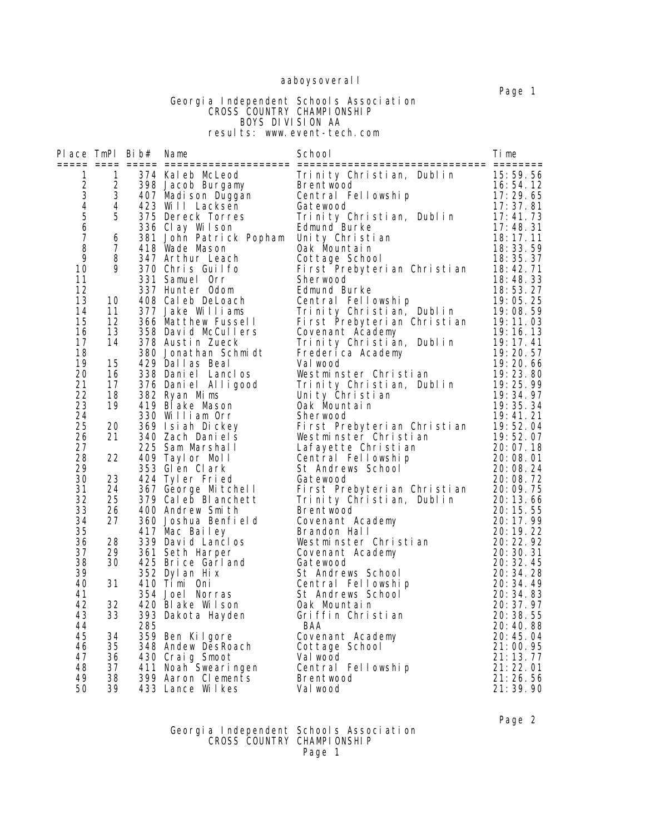# aaboysoveral I

#### Page 1 Georgia Independent Schools Association **CROSS COUNTRY CHAMPIONSHIP**  BOYS DIVISION AA results: www.event-tech.com

| Place $TmPI$ Bib# |                                         |                | Name                                                                 | School                                                                                                                | Time                 |
|-------------------|-----------------------------------------|----------------|----------------------------------------------------------------------|-----------------------------------------------------------------------------------------------------------------------|----------------------|
| 1                 | 1                                       |                |                                                                      | 374 Kaleb McLeod<br>398 Jacob Burgamy Brentwood<br>407 Madison Duggan Central Fellowship<br>423 Will Lacksen Gatewood | 15:59.56             |
| $\frac{2}{3}$     | $\overline{2}$                          |                |                                                                      |                                                                                                                       | 16:54.12             |
|                   |                                         | 3 <sup>7</sup> |                                                                      |                                                                                                                       | 17:29.65             |
| $rac{4}{5}$       |                                         | 4 <sup>1</sup> |                                                                      |                                                                                                                       | 17: 37. 81           |
|                   | 5                                       |                | $375$ Dereck Torres                                                  | Trinity Christian, Dublin                                                                                             | 17:41.73             |
| 6                 |                                         |                | 336 Clay Wilson                                                      | Edmund Burke                                                                                                          | 17:48.31             |
| $\overline{7}$    | 6                                       |                | 381 John Patrick Popham Unity Christian                              |                                                                                                                       | 18:17.11             |
| 8                 | 7 <sup>7</sup>                          |                | 418 Wade Mason                                                       | Oak Mountain                                                                                                          | 18:33.59             |
| 9                 | 8                                       |                | 347 Arthur Leach                                                     | Cottage School                                                                                                        | 18:35.37             |
| 10                | 9                                       |                | 370 Chris Guilfo                                                     | First Prebyterian Christian                                                                                           | 18:42.71             |
| 11                |                                         |                | 331 Samuel Orr                                                       | Sherwood                                                                                                              | 18:48.33             |
| 12<br>13          | 10                                      |                | 337 Hunter Odom                                                      | Edmund Burke<br>Central Fellowship                                                                                    | 18:53.27             |
| 14                |                                         |                | 408 Caleb DeLoach<br>377 Jake Williams                               | Trinity Christian, Dublin                                                                                             | 19:05.25<br>19:08.59 |
| 15                | $\begin{array}{c} 11 \\ 12 \end{array}$ |                | 366 Matthew Fussell                                                  | First Prebyterian Christian                                                                                           | 19:11.03             |
| 16                | 13                                      |                | 358 David McCullers                                                  | Covenant Academy                                                                                                      | 19:16.13             |
| 17                | 14                                      |                | 378 Austin Zueck                                                     | Trinity Christian, Dublin                                                                                             | 19:17.41             |
| 18                |                                         |                | 380 Jonathan Schmidt                                                 | Frederica Academy                                                                                                     | 19:20.57             |
| 19                | 15                                      |                | 429 Dallas Beal                                                      | Val wood                                                                                                              | 19:20.66             |
| 20                | 16                                      |                | 338 Daniel Lanclos                                                   | Westminster Christian                                                                                                 | 19: 23. 80           |
| 21                | 17                                      |                | 376 Daniel Alligood                                                  | Trinity Christian, Dublin                                                                                             | 19:25.99             |
| 22                | 18                                      |                | 382 Ryan Mims                                                        | Unity Christian                                                                                                       | 19:34.97             |
| 23                | 19                                      |                | 419 Blake Mason                                                      | Oak Mountain                                                                                                          | 19:35.34             |
| 24                |                                         |                | 330 William Orr                                                      | Sherwood                                                                                                              | 19:41.21             |
| 25                | 20                                      |                | 369 Isiah Dickey                                                     | First Prebyterian Christian                                                                                           | 19:52.04             |
| 26                | 21                                      |                | 340 Zach Daniels                                                     | Westminster Christian                                                                                                 | 19:52.07             |
| 27                |                                         |                | 225 Sam Marshall                                                     | Lafayette Christian                                                                                                   | 20:07.18             |
| 28                | 22                                      |                | 409 Taylor Moll                                                      | Central Fellowship                                                                                                    | 20:08.01             |
| 29                |                                         |                | 353 Glen Clark                                                       | St Andrews School                                                                                                     | 20:08.24             |
| 30                | 23                                      |                | 424 Tyler Fried                                                      | Gatewood                                                                                                              | 20:08.72             |
| 31                | 24                                      |                | 367 George Mitchell                                                  | First Prebyterian Christian                                                                                           | 20:09.75             |
| 32                | 25                                      |                | 379 Caleb Blanchett                                                  | Trinity Christian, Dublin                                                                                             | 20:13.66             |
| 33                | 26                                      |                | 400 Andrew Smith                                                     | <b>Brentwood</b>                                                                                                      | 20:15.55             |
| 34                | 27                                      |                | 360 Joshua Benfield                                                  | Covenant Academy                                                                                                      | 20: 17.99            |
| 35                |                                         |                | 417 Mac Bailey                                                       | Brandon Hall                                                                                                          | 20:19.22             |
| 36<br>37          | 28<br>29                                |                | 339 David Lanclos<br>361 Seth Harper                                 | Westminster Christian                                                                                                 | 20:22.92<br>20:30.31 |
| 38                | 30                                      |                | 425 Brice Garland                                                    | Covenant Academy                                                                                                      | 20:32.45             |
| 39                |                                         |                | 352 Dyl an Hix                                                       | Gatewood<br>St Andrews School                                                                                         | 20: 34. 28           |
| 40                | 31                                      |                | 410 Timi Oni                                                         | Central Fellowship                                                                                                    | 20:34.49             |
| 41                |                                         |                | 354 Joel Norras                                                      | St Andrews School                                                                                                     | 20: 34. 83           |
| 42                | 32                                      |                | 420 Blake Wilson                                                     | Oak Mountain                                                                                                          | 20:37.97             |
| 43                | 33                                      |                | 393 Dakota Hayden                                                    | Griffin Christian                                                                                                     | 20:38.55             |
| 44                |                                         | 285            |                                                                      | BAA                                                                                                                   | 20:40.88             |
| 45                | 34                                      |                | 359 Ben Kilgore                                                      | Covenant Academy                                                                                                      | 20: 45. 04           |
| 46                | 35                                      |                | 348 Andew DesRoach                                                   | Cottage School                                                                                                        | 21:00.95             |
| 47                | 36                                      |                | 430 Craig Smoot                                                      | Val wood                                                                                                              | 21:13.77             |
| 48                | 37                                      |                | 411 Noah Swearingen                                                  | Central Fellowship                                                                                                    | 21:22.01             |
| 49                | 38                                      |                | Second Division Clements<br>1399 Aaron Clements<br>133 Lance William | Brentwood                                                                                                             | 21:26.56             |
| 50                | 39                                      |                | 433 Lance Wilkes                                                     | Val wood                                                                                                              | 21: 39. 90           |

Page 2

#### Georgia Independent Schools Association **CROSS COUNTRY CHAMPIONSHIP** Page 1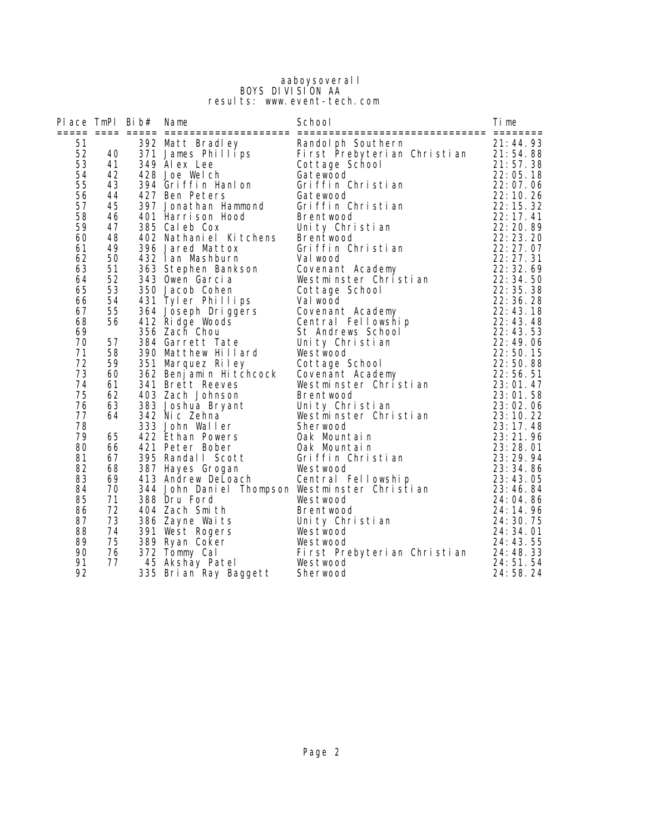#### aaboysoverall BOYS DIVISION AA results: www.event-tech.com

| Place TmPl Bib# |          | Name                                | School                                                                       | Time                   |
|-----------------|----------|-------------------------------------|------------------------------------------------------------------------------|------------------------|
| 51<br>52        | 40       | 392 Matt Bradley                    | Randolph Southern<br>371 James Phillips First Prebyterian Christian 21:54.88 | 21:44.93               |
| 53<br>54        | 41<br>42 | 349 Alex Lee                        | Cottage School                                                               | 21:57.38<br>22:05.18   |
| 55              | 43       | 428 Joe Welch<br>394 Griffin Hanlon | Gatewood<br>Griffin Christian                                                | 22:07.06               |
| 56              | 44       | 427 Ben Peters                      | Gatewood                                                                     | 22: 10. 26             |
| 57              | 45       | 397 Jonathan Hammond                | Griffin Christian                                                            | 22: 15. 32             |
| 58              | 46       | 401 Harrison Hood                   | <b>Brentwood</b>                                                             | 22:17.41               |
| 59              | 47       | 385 Cal eb Cox                      | Unity Christian                                                              | 22:20.89               |
| 60              | 48       | 402 Nathaniel Kitchens              | Brentwood                                                                    | 22:23.20               |
| 61              | 49       | 396 Jared Mattox                    | Griffin Christian                                                            | 22:27.07               |
| 62              | 50       | 432 Ian Mashburn                    | Val wood                                                                     | 22: 27. 31             |
| 63              | 51       | 363 Stephen Bankson                 | Covenant Academy                                                             | 22: 32. 69             |
| 64              | 52       | 343 Owen Garcia                     | Westminster Christian                                                        | 22:34.50               |
| 65              | 53       | 350 Jacob Cohen                     | Cottage School                                                               | 22:35.38               |
| 66              | 54       | 431 Tyler Phillips                  | Val wood                                                                     | 22:36.28               |
| 67              | 55       | 364 Joseph Driggers                 | Covenant Academy                                                             | 22:43.18               |
| 68              | 56       | 412 Ridge Woods                     | Central Fellowship                                                           | 22:43.48               |
| 69              |          | 356 Zach Chou                       | St Andrews School                                                            | 22:43.53               |
| 70              | 57       | 384 Garrett Tate                    | Unity Christian                                                              | 22:49.06               |
| 71              | 58       | 390 Matthew Hillard                 | Westwood                                                                     | 22:50.15               |
| 72              | 59       | 351 Marquez Riley                   |                                                                              | 22:50.88               |
| 73              | 60       | 362 Benjamin Hitchcock              | sovenant Academy<br>Westminster Christian<br>Brentwood<br>Unity Chri         | 22:56.51               |
| 74              | 61       | 341 Brett Reeves                    |                                                                              | 23:01.47               |
| 75              | 62       | 403 Zach Johnson                    |                                                                              | 23:01.58               |
| 76              | 63       | 383 Joshua Bryant                   | Unity Christian                                                              | 23:02.06               |
| 77<br>78        | 64       | 342 Nic Zehna<br>333 John Waller    | Westminster Christian<br>Sherwood                                            | 23:10.22<br>23: 17. 48 |
| 79              | 65       | 422 Ethan Powers                    | Oak Mountain                                                                 | 23:21.96               |
| 80              | 66       | 421 Peter Bober                     | Oak Mountain                                                                 | 23:28.01               |
| 81              | 67       | 395 Randall Scott                   | Griffin Christian                                                            | 23:29.94               |
| 82              | 68       | 387 Hayes Grogan                    | Westwood                                                                     | 23:34.86               |
| 83              | 69       | 413 Andrew DeLoach                  | Central Fellowship                                                           | 23:43.05               |
| 84              | 70       |                                     | 344 John Daniel Thompson Westminster Christian                               | 23:46.84               |
| 85              | 71       | 388 Dru Ford                        | Westwood                                                                     | 24:04.86               |
| 86              | 72       | 404 Zach Smith                      | <b>Brentwood</b>                                                             | 24: 14. 96             |
| 87              | 73       | 386 Zayne Waits                     | Unity Christian                                                              | 24: 30. 75             |
| 88              | 74       | 391 West Rogers                     | Westwood                                                                     | 24: 34. 01             |
| 89              | 75       | 389 Ryan Coker                      | Westwood                                                                     | 24: 43. 55             |
| 90              | 76       | 372 Tommy Cal                       | First Prebyterian Christian                                                  | 24:48.33               |
| 91              | 77       | 45 Akshay Patel                     | Westwood                                                                     | 24:51.54               |
| 92              |          | 335 Brian Ray Baggett               | Sherwood                                                                     | 24:58.24               |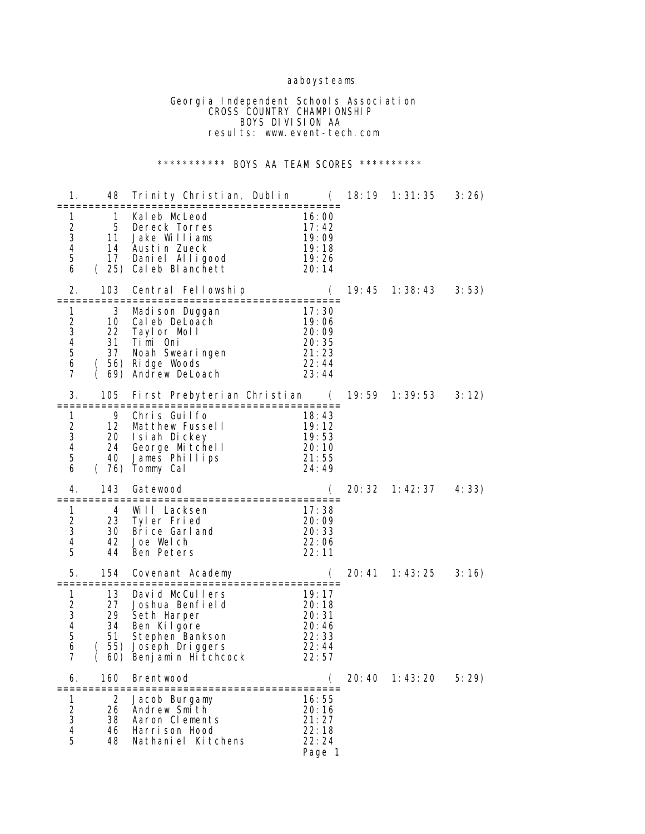# aaboysteams

 Georgia Independent Schools Association **CROSS COUNTRY CHAMPIONSHIP**  BOYS DIVISION AA results: www.event-tech.com

# \*\*\*\*\*\*\*\*\*\*\* BOYS AA TEAM SCORES \*\*\*\*\*\*\*\*\*\*

| 1.                                           | 48                                         | Trinity Christian, Dublin       (  18:19  1:31:35<br>=====================                                                              |                                                                                   |        |                                  | 3:26  |
|----------------------------------------------|--------------------------------------------|-----------------------------------------------------------------------------------------------------------------------------------------|-----------------------------------------------------------------------------------|--------|----------------------------------|-------|
| 1<br>2<br>3<br>4<br>5<br>6                   | $\mathbf{1}$<br>5<br>11                    | Kaleb McLeod<br>Dereck Torres<br>Jake Williams<br>14 Austin Zueck<br>17 Daniel Alligood<br>(25) Caleb Blanchett                         | 16:00<br>17:42<br>19:09<br>19:18<br>19:26<br>20:14                                |        |                                  |       |
| 2.                                           | 103                                        | Central Fellowship<br>:===============================                                                                                  | $\overline{C}$                                                                    | 19: 45 | 1: 38: 43                        | 3:53) |
| 1<br>$\overline{c}$<br>3<br>4<br>5<br>6<br>7 | 3<br>10                                    | Madi son Duggan<br>Cal eb DeLoach<br>22 Tayl or Moll<br>31 Timi Oni<br>37 Noah Swearingen<br>(56) Ridge Woods<br>(69) Andrew DeLoach    | 17:30<br>19:06<br>20:09<br>20:35<br>21: 23<br>22:44<br>23:44                      |        |                                  |       |
| 3.                                           | 105<br>=============                       | First Prebyterian Christian (<br>=================================                                                                      |                                                                                   |        |                                  | 3:12) |
| 1<br>$\overline{c}$<br>3<br>4<br>5<br>6      | 9<br>40                                    | Chris Guilfo<br>12 Matthew Fussell<br>20 Isiah Dickey<br>20:10<br>24 George Mitchell<br>James Phillips<br>(76) Tommy Cal                | 18:43<br>19:12<br>19:53<br>21:55<br>24:49                                         |        |                                  |       |
| 4.                                           | 143                                        | Gatewood<br>================================                                                                                            |                                                                                   |        | $20:32 \quad 1:42:37 \quad 4:33$ |       |
| 1<br>$\overline{2}$<br>3<br>4<br>5           | =============<br>4<br>23<br>30<br>42<br>44 | Will Lacksen<br>Tyler Fried<br>Brice Garland<br>Joe Welch<br>Ben Peters                                                                 | 17:38<br>20:09<br>20:33<br>22:06<br>22:11                                         |        |                                  |       |
| 5.                                           | 154                                        | Covenant Academy                                                                                                                        |                                                                                   |        |                                  | 3:16  |
| 1<br>2<br>3<br>4<br>5<br>6<br>$\overline{7}$ | 13<br>27<br>29<br>34<br>51                 | David McCullers<br>Joshua Benfield<br>Seth Harper<br>Ben Kilgore<br>Stephen Bankson<br>(55) Joseph Driggers<br>( 60) Benjamin Hitchcock | 19:17<br>$20:18$<br>$20:31$<br>$20:46$<br>$\frac{20.46}{22.33}$<br>22:44<br>22:57 |        |                                  |       |
| 6.                                           | 160                                        | <b>Brentwood</b>                                                                                                                        |                                                                                   |        | 20:40 1:43:20                    | 5:29) |
| Τ<br>$\overline{\mathbf{c}}$<br>3<br>4<br>5  | 2<br>26<br>38<br>46<br>48                  | Jacob Burgamy<br>Andrew Smith<br>Aaron Clements<br>Harrison Hood<br>Nathaniel Kitchens                                                  | 16:55<br>20:16<br>21:27<br>22:18<br>22:24<br>Page 1                               |        |                                  |       |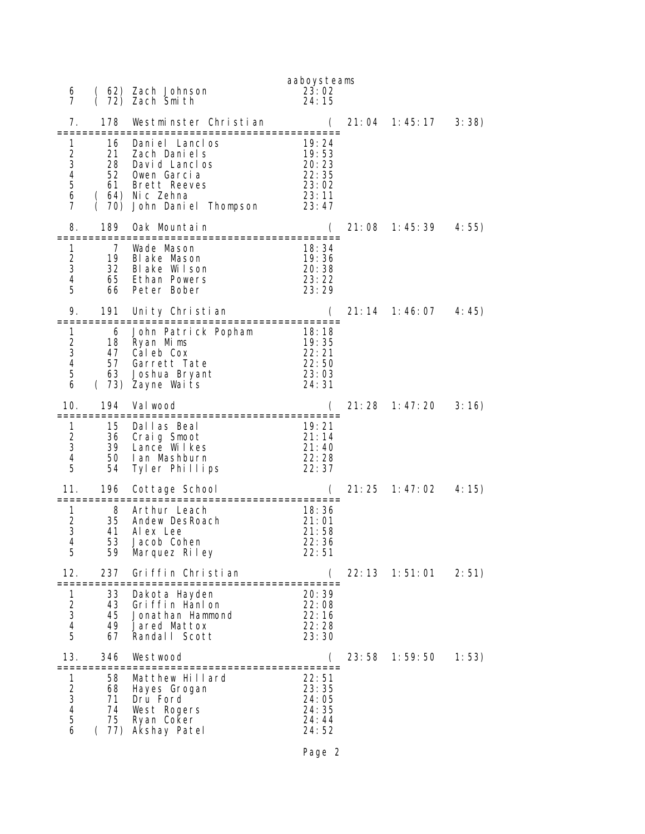| 6<br>7                                                |                                                   | (62) Zach Johnson<br>(72) Zach Smilli                                                                                                                         | aaboysteams<br>23:02<br>24:15                               |        |                                       |       |
|-------------------------------------------------------|---------------------------------------------------|---------------------------------------------------------------------------------------------------------------------------------------------------------------|-------------------------------------------------------------|--------|---------------------------------------|-------|
| 7.                                                    | 178                                               | Westminster Christian                                                                                                                                         |                                                             | 21:04  | 1: 45: 17                             | 3:38) |
| 1<br>$\overline{\mathbf{c}}$<br>3<br>4<br>5<br>6<br>7 | 16<br>21<br>28<br>52<br>61                        | ========================<br>Daniel Lanclos<br>Zach Dani el s<br>David Lanclos<br>Owen Garcia<br>Brett Reeves<br>( 64) Nic Zehna<br>( 70) John Daniel Thompson | 19:24<br>19:53<br>20:23<br>22:35<br>23:02<br>23:11<br>23:47 |        |                                       |       |
| 8.                                                    | 189<br>============                               | Oak Mountain<br>===============================                                                                                                               |                                                             |        | 21:08    1:45:39                      | 4:55) |
| 1<br>$\overline{c}$<br>3<br>4<br>5                    | 7<br>19<br>32<br>65<br>66                         | Wade Mason<br>Blake Mason<br>Blake Wilson<br>Ethan Powers<br>Peter Bober                                                                                      | 18:34<br>19:36<br>20:38<br>23:22<br>23:29                   |        |                                       |       |
| 9.                                                    | 191                                               | Unity Christian                                                                                                                                               |                                                             |        | $21: 14 \quad 1: 46: 07 \quad 4: 45)$ |       |
| 1<br>$\overline{\mathbf{c}}$<br>3<br>4<br>5<br>6      | 47<br>63                                          | 6 John Patrick Popham<br>18 Ryan Mims<br>Caleb Cox<br>57 Garrett Tate<br>Joshua Bryant<br>(73) Zayne Waits                                                    | 18:18<br>19:35<br>22:21<br>22:50<br>23:03<br>24:31          |        |                                       |       |
| 10.                                                   | 194                                               | Val wood<br>===========================                                                                                                                       | :==============                                             |        |                                       | 3:16) |
| 1<br>$\frac{2}{3}$<br>4<br>5                          | 15<br>36<br>39<br>50<br>54                        | Dallas Beal<br>Craig Smoot<br>Lance Wilkes<br>lan Mashburn<br>Tyler Phillips                                                                                  | 19:21<br>21:14<br>21:40<br>22: 28<br>22:37                  |        |                                       |       |
| 11.                                                   | 196<br>==============                             | Cottage School<br>:====================                                                                                                                       |                                                             | 21: 25 | 1: 47: 02                             | 4:15) |
| 1<br>$\overline{\mathbf{c}}$<br>3<br>4<br>ხ           | 8<br>35<br>41<br>53<br>59                         | Arthur Leach<br>Andew DesRoach<br>Al ex Lee<br>Jacob Cohen<br>Marquez Riley                                                                                   | 18:36<br>21:01<br>21:58<br>22:36<br>22: 51                  |        |                                       |       |
| 12.                                                   | 237<br>=============                              | Griffin Christian<br>=============================                                                                                                            |                                                             | 22:13  | 1:51:01                               | 2:51) |
| 1<br>$\begin{array}{c} 2 \\ 3 \\ 4 \end{array}$<br>5  | 33<br>43<br>45<br>49<br>67                        | Dakota Hayden<br>Gri ffin Hanl on<br>Jonathan Hammond<br>Jared Mattox<br>Randall Scott                                                                        | 20:39<br>22:08<br>22:16<br>22:28<br>23:30                   |        |                                       |       |
| 13.                                                   | 346                                               | Westwood                                                                                                                                                      |                                                             | 23:58  | 1:59:50                               | 1:53) |
| 1<br>2<br>3<br>4<br>5<br>6                            | 58<br>68<br>71<br>74<br>75<br>77)<br><sup>(</sup> | Matthew Hillard<br>Hayes Grogan<br>Dru Ford<br>West Rogers<br>Ryan Coker<br>Akshay Patel                                                                      | 22:51<br>23:35<br>24:05<br>24:35<br>24:44<br>24:52          |        |                                       |       |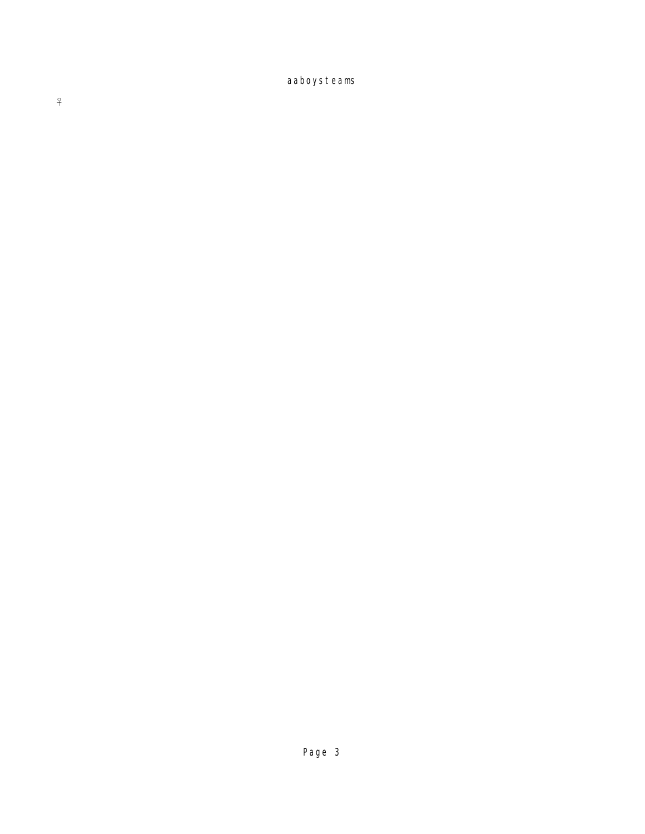aaboysteams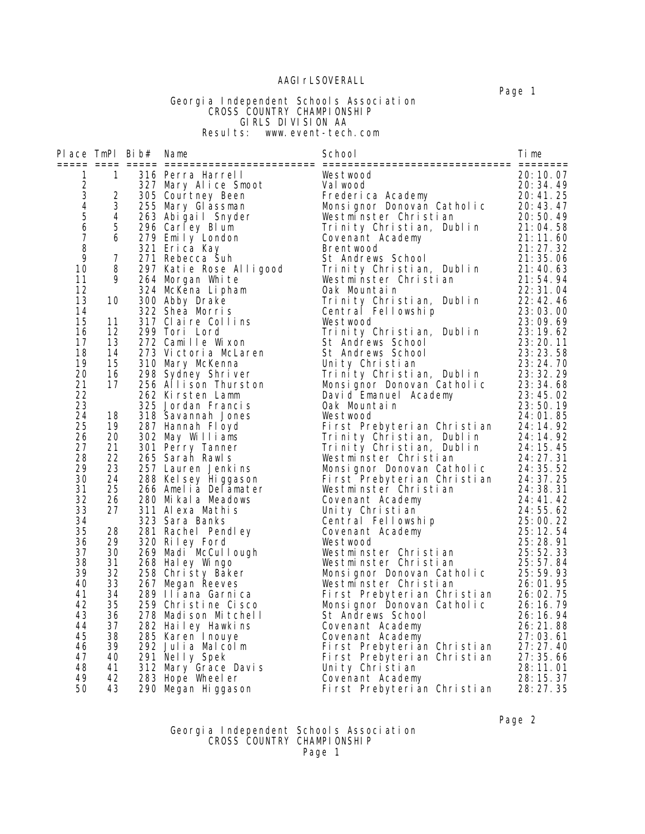## AAGI rLSOVERALL

 Georgia Independent Schools Association **CROSS COUNTRY CHAMPIONSHIP**  GIRLS DIVISION AA Results: www.event-tech.com

|        |                 | Place TmPl Bib# Name |                         | School                                                                                                                                                                                                                                        | Time       |
|--------|-----------------|----------------------|-------------------------|-----------------------------------------------------------------------------------------------------------------------------------------------------------------------------------------------------------------------------------------------|------------|
| 1      | $\sim$ 1        |                      | 316 Perra Harrell       | Westwood                                                                                                                                                                                                                                      | 20:10.07   |
|        |                 |                      | 327 Mary Alice Smoot    | Val wood                                                                                                                                                                                                                                      | 20:34.49   |
| 234567 | $\overline{2}$  |                      | 305 Courtney Been       | Frederica Academy                                                                                                                                                                                                                             | 20:41.25   |
|        | 3 <sup>7</sup>  |                      | 255 Mary Glassman       | Monsignor Donovan Catholic<br>Westminster Christian                                                                                                                                                                                           | 20: 43. 47 |
|        | $4\overline{ }$ |                      | 263 Abiğail Snyder      | Westminster Christian                                                                                                                                                                                                                         | 20:50.49   |
|        | 5 <sub>5</sub>  |                      | 296 Carley Blum         | Trinity Christian, Dublin                                                                                                                                                                                                                     | 21:04.58   |
|        | 6               |                      | 279 Emily London        | Covenant Academy                                                                                                                                                                                                                              | 21:11.60   |
| $\, 8$ |                 |                      | 321 Erica Kay           | Brentwood                                                                                                                                                                                                                                     | 21:27.32   |
| 9      | $\overline{7}$  |                      | 271 Rebecca Suh         | St Andrews School                                                                                                                                                                                                                             | 21:35.06   |
| 10     | 8               |                      | 297 Katie Rose Alligood | Trinity Christian, Dublin                                                                                                                                                                                                                     | 21:40.63   |
| 11     | 9.              |                      | 264 Morgan White        | Westminster Christian                                                                                                                                                                                                                         | 21:54.94   |
| 12     |                 |                      | 324 McKena Lipham       | Oak Mountain                                                                                                                                                                                                                                  | 22: 31. 04 |
| 13     | 10              |                      | 300 Abby Drake          | Trinity Christian, Dublin                                                                                                                                                                                                                     | 22:42.46   |
| 14     |                 |                      | 322 Shea Morris         | Central Fellowship                                                                                                                                                                                                                            | 23:03.00   |
| 15     | 11              |                      | 317 Claire Collins      | Westwood                                                                                                                                                                                                                                      | 23:09.69   |
| 16     | 12              |                      | 299 Tori Lord           | Trinity Christian, Dublin                                                                                                                                                                                                                     | 23:19.62   |
| 17     | 13              |                      | 272 Camille Wixon       | St Andrews School                                                                                                                                                                                                                             | 23:20.11   |
| 18     | 14              |                      | 273 Victoria McLaren    | St Andrews School                                                                                                                                                                                                                             | 23:23.58   |
| 19     | 15              |                      | 310 Mary McKenna        | Unity Christian                                                                                                                                                                                                                               | 23:24.70   |
| 20     | 16              |                      | 298 Sydney Shriver      | Trinity Christian, Dublin                                                                                                                                                                                                                     | 23: 32. 29 |
| 21     | 17              |                      | 256 Allison Thurston    | Monsignor Donovan Catholic                                                                                                                                                                                                                    | 23:34.68   |
| 22     |                 |                      | 262 Kirsten Lamm        | David Emanuel Academy                                                                                                                                                                                                                         | 23:45.02   |
| 23     |                 |                      | 325 Jordan Francis      | Oak Mountain                                                                                                                                                                                                                                  | 23:50.19   |
| 24     | 18              |                      | 318 Savannah Jones      | Westwood                                                                                                                                                                                                                                      | 24:01.85   |
| 25     | 19              |                      | 287 Hannah Fl oyd       | First Prebyterian Christian                                                                                                                                                                                                                   | 24:14.92   |
| 26     | 20              |                      | 302 May Williams        | Trinity Christian, Dublin                                                                                                                                                                                                                     | 24: 14. 92 |
| 27     | 21              |                      | 301 Perry Tanner        | Trinity Christian, Dublin                                                                                                                                                                                                                     | 24:15.45   |
| 28     | 22              |                      | 265 Sarah Rawls         | Westminster Christian                                                                                                                                                                                                                         | 24: 27. 31 |
| 29     | 23              |                      | 257 Lauren Jenkins      | Monsignor Donovan Catholic<br>Eirst Prebyterian Christian<br>Worst Prebyterian Christian<br>24:35.52<br>Westminster Christian<br>24:37.25<br>Westminster Christian<br>24:38.31<br>Covenant Academy<br>24:41.42<br>Unity Christian<br>24:55.62 |            |
| 30     | 24              |                      | 288 Kel sey Hi ggason   |                                                                                                                                                                                                                                               |            |
| 31     | 25              |                      | 266 Amelia Delamater    |                                                                                                                                                                                                                                               |            |
| 32     | 26              |                      | 280 Mikala Meadows      |                                                                                                                                                                                                                                               |            |
| 33     | 27              |                      | 311 Alexa Mathis        |                                                                                                                                                                                                                                               |            |
| 34     |                 |                      | 323 Sara Banks          | Central Fellowship                                                                                                                                                                                                                            | 25:00.22   |
| 35     | 28              |                      | 281 Rachel Pendley      | Covenant Academy                                                                                                                                                                                                                              | 25:12.54   |
| 36     | 29              |                      | 320 Riley Ford          | Westwood                                                                                                                                                                                                                                      | 25:28.91   |
| 37     | 30              |                      | 269 Madi McCullough     | Westminster Christian                                                                                                                                                                                                                         | 25:52.33   |
| 38     | 31              |                      | 268 Hal ey Wingo        | Westminster Christian                                                                                                                                                                                                                         | 25:57.84   |
| 39     | 32              |                      | 258 Christy Baker       | Westminster Unristian<br>Monsignor Donovan Catholic                                                                                                                                                                                           | 25:59.93   |
| 40     | 33              |                      | 267 Megan Reeves        | Westminster Christian                                                                                                                                                                                                                         | 26:01.95   |
| 41     | 34              |                      | 289 Iliana Garnica      | First Prebyterian Christian                                                                                                                                                                                                                   | 26:02.75   |
| 42     | 35              |                      | 259 Christine Cisco     | Monsignor Donovan Catholic                                                                                                                                                                                                                    | 26: 16. 79 |
| 43     | 36              |                      | 278 Madison Mitchell    | St Andrews School                                                                                                                                                                                                                             | 26:16.94   |
| 44     | 37              |                      | 282 Hailey Hawkins      | Covenant Academy                                                                                                                                                                                                                              | 26:21.88   |
| 45     | 38              |                      | 285 Karen Inouye        | Covenant Academy                                                                                                                                                                                                                              | 27:03.61   |
| 46     | 39              |                      | 292 Julia Malcolm       | First Prebyterian Christian                                                                                                                                                                                                                   | 27:27.40   |
| 47     | 40              |                      | 291 Nelly Spek          | First Prebyterian Christian                                                                                                                                                                                                                   | 27:35.66   |
| 48     | 41              |                      | 312 Mary Grace Davis    | Unity Christian                                                                                                                                                                                                                               | 28:11.01   |
| 49     | 42              |                      | 283 Hope Wheel er       | Covenant Academy                                                                                                                                                                                                                              | 28: 15. 37 |
| 50     | 43              |                      | 290 Megan Higgason      | First Prebyterian Christian                                                                                                                                                                                                                   | 28:27.35   |

#### Page 2 Georgia Independent Schools Association **CROSS COUNTRY CHAMPIONSHIP** Page 1

Page 1 - Page 1 - Page 1 - Page 1 - Page 1 - Page 1 - Page 1 - Page 1 - Page 1 - Page 1 - Page 1 - Page 1 - Page 1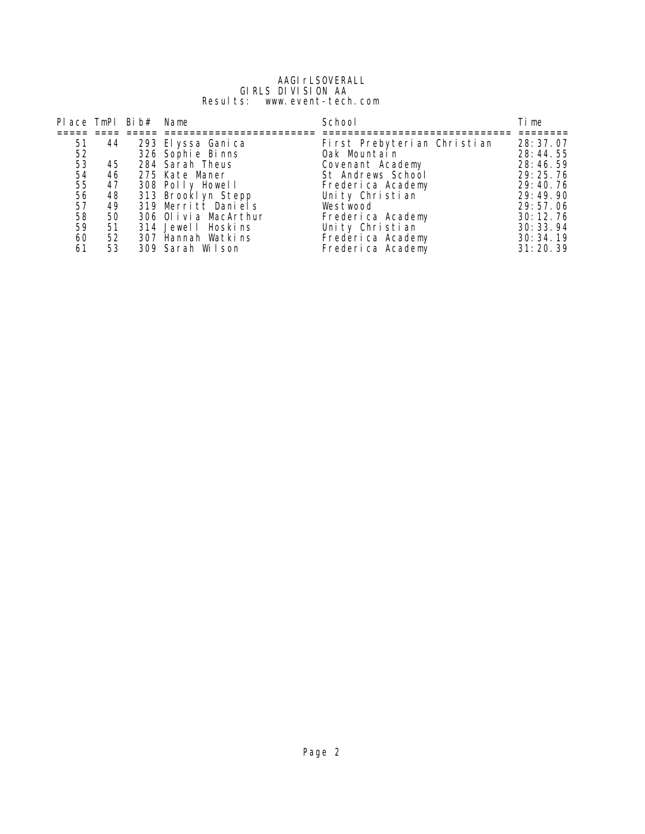#### AAGI rLSOVERALL GIRLS DIVISION AA Results: www.event-tech.com

|    |    | Place TmPl Bib# Name |                      | School                      | Ti me      |
|----|----|----------------------|----------------------|-----------------------------|------------|
|    |    |                      |                      |                             |            |
| 51 | 44 |                      | 293 El yssa Gani ca  | First Prebyterian Christian | 28: 37.07  |
| 52 |    |                      | 326 Sophi e Bi nns   | Oak Mountain                | 28:44.55   |
| 53 | 45 |                      | 284 Sarah Theus      | Covenant Academy            | 28:46.59   |
| 54 | 46 |                      | 275 Kate Maner       | St Andrews School           | 29:25.76   |
| 55 | 47 |                      | 308 Polly Howell     | Frederica Academy           | 29:40.76   |
| 56 | 48 |                      | 313 Brooklyn Stepp   | Unity Christian             | 29:49.90   |
| 57 | 49 |                      | 319 Merritt Daniels  | Westwood                    | 29:57.06   |
| 58 | 50 |                      | 306 Olivia MacArthur | Frederica Academy           | 30:12.76   |
| 59 | 51 |                      | 314 Jewell Hoskins   | Unity Christian             | 30: 33. 94 |
| 60 | 52 |                      | 307 Hannah Watkins   | Frederica Academy           | 30:34.19   |
| 61 | 53 |                      | 309 Sarah Wilson     | Frederica Academy           | 31:20.39   |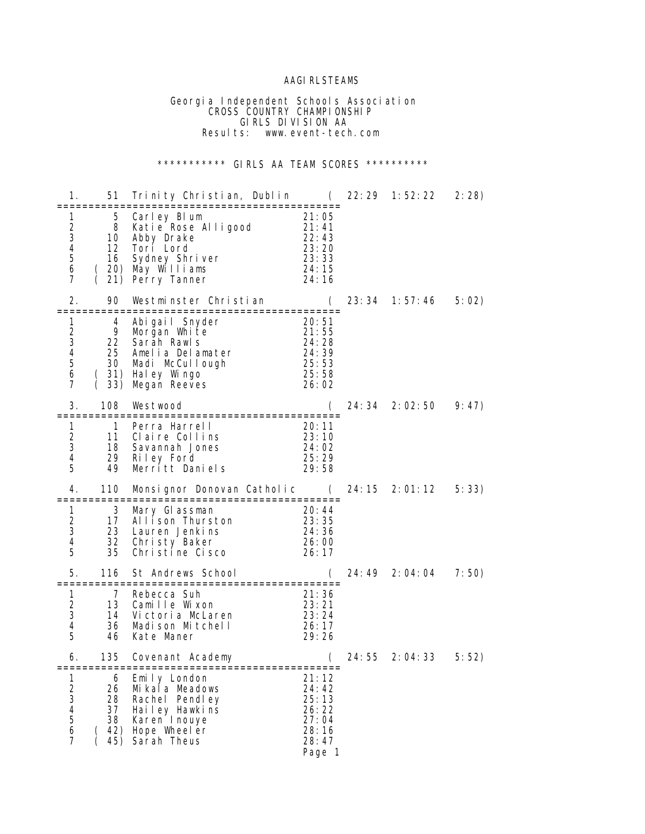## AAGIRLSTEAMS

 Georgia Independent Schools Association **CROSS COUNTRY CHAMPIONSHIP**  GIRLS DIVISION AA Results: www.event-tech.com

# \*\*\*\*\*\*\*\*\*\*\* GIRLS AA TEAM SCORES \*\*\*\*\*\*\*\*\*\*

| 1.                                                                                          | 51                               | Trinity Christian, Dublin                                                                                                          | $\overline{C}$                                                                       | 22:29  | 1:52:22          | 2:28  |
|---------------------------------------------------------------------------------------------|----------------------------------|------------------------------------------------------------------------------------------------------------------------------------|--------------------------------------------------------------------------------------|--------|------------------|-------|
| 1.<br>$\boldsymbol{2}$<br>3<br>4<br>5<br>6<br>7                                             | 8<br>10<br>16                    | 5 Carley Blum<br>Katie Rose Alligood<br>Abby Drake<br>12 Tori Lord<br>Sydney Shriver<br>20) May Williams<br>21) Perry Tanner       | 21:05<br>21:41<br>22:43<br>22: 43<br>23: 20<br>23: 33<br>24:15<br>24:16              |        |                  |       |
| 2.                                                                                          | 90<br>===========                | Westminster Christian<br>:=====================                                                                                    | (                                                                                    | 23: 34 | 1: 57: 46        | 5:02  |
| 1<br>$\overline{c}$<br>3<br>$\overline{\mathbf{4}}$<br>$\mathbf 5$<br>6<br>7                | 4<br>9<br>25<br>33)              | Abigail Snyder<br>Morgan White<br>22 Sarah Rawls<br>Amelia Delamater<br>30 Madi McCullough<br>(31) Haley Wingo<br>Megan Reeves     | 20:51<br>21:55<br>24:28<br>– <del>–</del> – 28<br>24: 39<br>25 – 7<br>25:58<br>26:02 |        |                  |       |
| 3.                                                                                          | 108                              | Westwood                                                                                                                           | $\left($                                                                             |        | 24: 34 2: 02: 50 | 9:47  |
| 1<br>$\overline{c}$<br>3<br>4<br>5                                                          | $\overline{1}$<br>11<br>18<br>49 | Perra Harrell<br>23:10<br>Claire Collins<br>Savannah Jones<br>29 Riley Ford<br>Merritt Daniels                                     | 20:11<br>24:02<br>25:29<br>29: 58                                                    |        |                  |       |
| 4.                                                                                          | 110<br>============              | Monsignor Donovan Catholic<br>===============================                                                                      | (                                                                                    | 24: 15 | 2:01:12          | 5:33) |
| $\mathbf{1}$<br>$\overline{2}$<br>3<br>4<br>5                                               | 3<br>17<br>23<br>32<br>35        | Mary Glassman<br>Allison Thurston<br>Lauren Jenkins<br>Christy Baker<br>Christine Cisco                                            | 20:44<br>23:35<br>24:36<br>26:00<br>26:17                                            |        |                  |       |
| 5.                                                                                          | 116                              | St Andrews School                                                                                                                  |                                                                                      |        | 24: 49 2: 04: 04 | 7:50) |
| 1<br>$\overline{2}$<br>3<br>4<br>5                                                          | 7<br>13<br>36<br>46              | Rebecca Suh<br>Camille Wixon<br>14 Victoria McLaren<br>Madison Mitchell<br>Kate Maner                                              | 21:36<br>23:21<br>23: 24<br>26: 17<br>29:26                                          |        |                  |       |
| 6.                                                                                          | 135                              | Covenant Academy                                                                                                                   | (                                                                                    | 24: 55 | 2:04:33          | 5:52) |
| 1<br>$\sqrt{2}$<br>3<br>$\overline{\mathcal{A}}$<br>5<br>$\boldsymbol{6}$<br>$\overline{7}$ | 6<br>26<br>28<br>38              | Emily London<br>Mi kala Meadows<br>Rachel Pendley<br>37 Hailey Hawkins<br>Karen I nouye<br>$(42)$ Hope Wheel er<br>45) Sarah Theus | 21:12<br>24:42<br>25:13<br>26:22<br>27:04<br>28:16<br>28:47<br>Page 1                |        |                  |       |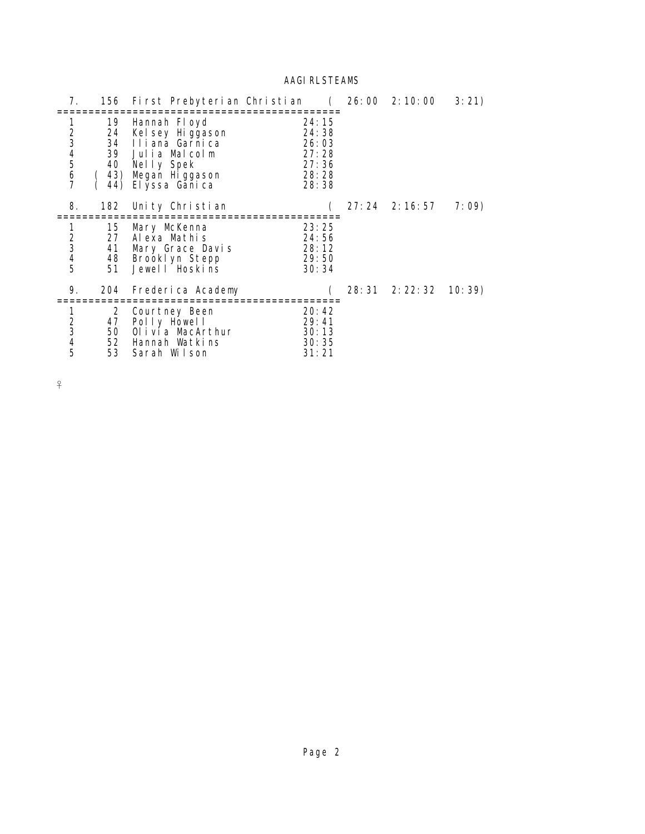# **AAGI RLSTEAMS**

| 7.                                                     |                      | 156 First Prebyterian Christian (26:00 2:10:00                                                                                              |                                                             |                  | 3:21) |
|--------------------------------------------------------|----------------------|---------------------------------------------------------------------------------------------------------------------------------------------|-------------------------------------------------------------|------------------|-------|
| 1<br>234567                                            | 24                   | 19 Hannah Floyd<br>Kel sey Higgason<br>34 Iliana Garnica<br>39 Julia Malcolm<br>40 Nelly Spek<br>(43) Megan Higgason<br>44) El yssa Gani ca | 24:15<br>24:38<br>26:03<br>27:28<br>27:36<br>28:28<br>28:38 |                  |       |
| 8.                                                     | 182                  | Unity Christian                                                                                                                             |                                                             | $27:24$ 2:16:57  | 7:09) |
| $\begin{array}{c}\n2 \\ 3 \\ 4 \\ 5\n\end{array}$      | 15<br>27<br>41       | Mary McKenna<br>Alexa Mathis<br>Mary Grace Davis<br>48 Brooklyn Stepp<br>51 Jewell Hoskins                                                  | 23:25<br>24:56<br>28: 12<br>29: 50<br>30:34                 |                  |       |
| 9.                                                     | 204                  | Frederica Academy                                                                                                                           |                                                             | 28: 31 2: 22: 32 | 10:39 |
| 1<br>$\begin{array}{c}\n2 \\ 3 \\ 4 \\ 5\n\end{array}$ | $\overline{2}$<br>50 | Courtney Been<br>47 Polly Howell<br>Olivia MacArthur<br>52 Hannah Watkins<br>53 Sarah Wilson                                                | 20:42<br>29:41<br>30:13<br>30:35<br>31:21                   |                  |       |

 $\overline{f}$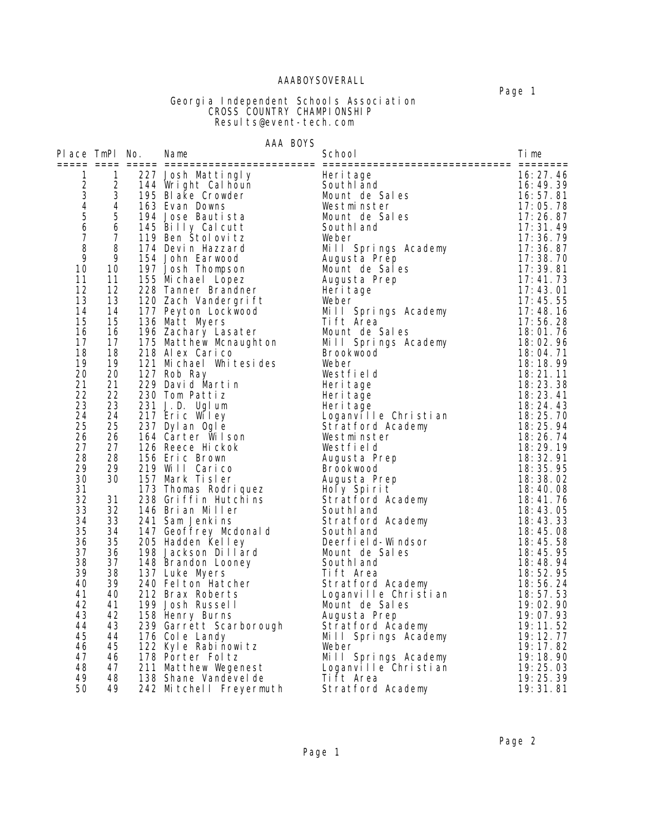## AAABOYSOVERALL

#### Georgia Independent Schools Association **CROSS COUNTRY CHAMPIONSHIP** Results@event-tech.com

## AAA BOYS

| Heritage<br>Southland<br>Mount de Sales<br>16:27.46<br>16:49.39<br>16:57.81<br>17:05.78<br>Westminster<br>Mount de Sales<br>17:26.87<br>17:31.49<br>17:36.79<br>Mill Springs Academy<br>Augusta Prep<br>17:36.87<br>17:38.70<br>Augusta Prep<br>10<br>17:39.81<br>Mount de Sales<br>11<br>11<br>155 Michael Lopez<br>17:41.73<br>Augusta Prep<br>12<br>12<br>17:43.01<br>Heri tage<br>13<br>13<br>228 Tanner Branding<br>120 Zach Vandergrift<br>137 Peyton Lockwood<br>Weber<br>17:45.55<br>Mill Springs Academy<br>14<br>14<br>17:48.16<br>15<br>15<br>136 Matt Myers<br>Ti ft Area<br>17:56.28<br>16<br>16<br>18:01.76<br>196 Zachary Lasater<br>Mount de Sales<br>196 Zachary Lasater<br>175 Matthew Mcnaughton<br>Mill Springs Academy<br>Brookwood<br>17<br>17<br>18:02.96<br>18<br>18<br>18:04.71<br>218 Alex Carico<br>19<br>19<br>121 Michael Whitesides<br>18:18.99<br>Weber<br>20<br>20<br>18:21.11<br>127 Rob Ray<br>Westfield<br>21<br>21<br>229 David Martin<br>18:23.38<br>Heri tage<br>22<br>22<br>230 Tom Pattiz<br>Heri tage<br>18:23.41<br>23<br>23<br>231 J.D. Ugl um<br>18:24.43<br>Heri tage<br>Loganville Christian<br>Stratford Academy<br>Westminster<br>24<br>24<br>217 Eric Wiley<br>18:25.70<br>25<br>25<br>237 Dyl an Ogl e<br>18:25.94<br>26<br>26<br>164 Carter Wilson<br>Westminster<br>18:26.74<br>27<br>27<br>126 Reece Hickok<br>Westfield<br>18:29.19<br>28<br>28<br>18:32.91<br>156 Eric Brown<br>Augusta Prep<br>29<br>29<br>219 Will Carico<br><b>Brookwood</b><br>18:35.95<br>30<br>30<br>157 Mark Tisler<br>173 Thomas Rodriquez<br>173 Thomas Rodriquez<br>238 Griffin Hutchins<br>146 Brian Miller<br>241 Sam Jenkins<br>241 Sam Jenkins<br>173 Thomas Rodriquez<br>173 Thomas Rodriquez<br>173 Thomas Rodriguez<br>173 Thomas Rodriguez<br><br>18:38.02<br>31<br>18:40.08<br>32<br>31<br>18:41.76<br>33<br>32<br>18:43.05<br>34<br>33<br>241 Sam Jenkins<br>Stratford Academy<br>18:43.33<br>241 Sam Jenkins Stratford Academy<br>147 Geoffrey Mcdonald Southland<br>205 Hadden Kelley Deerfield-Windsor<br>198 Jackson Dillard Mount de Sales<br>148 Brandon Looney Southland<br>137 Luke Myers Tift Area<br>240 Felton Hatcher Stratf<br>35<br>34<br>18:45.08<br>35<br>36<br>18:45.58<br>37<br>36<br>18:45.95<br>38<br>37<br>18:48.94<br>39<br>38<br>18:52.95<br>40<br>39<br>18:56.24<br>stratford Academy<br>Loganville Christian<br>41<br>40<br>18:57.53<br>42<br>41<br>19:02.90<br>43<br>42<br>158 Henry Burns<br>Augusta Prep<br>19:07.93<br>158 Henry Burns<br>239 Garrett Scarborough<br>176 Cole Landy<br>176 Cole Landy<br>178 Porter Foltz<br>178 Porter Foltz<br>211 Matthew Wegenest<br>213 Shane Vandevelde<br>18 Shane Vandevelde<br>18 Shane Vandevelde<br>176 Cole Landy<br>18 Shane V<br>43<br>19:11.52<br>44<br>19:12.77<br>45<br>44<br>19:17.82<br>46<br>45<br>47<br>19:18.90<br>46 | Place TmPl No. |    | Name | School | Time     |
|-----------------------------------------------------------------------------------------------------------------------------------------------------------------------------------------------------------------------------------------------------------------------------------------------------------------------------------------------------------------------------------------------------------------------------------------------------------------------------------------------------------------------------------------------------------------------------------------------------------------------------------------------------------------------------------------------------------------------------------------------------------------------------------------------------------------------------------------------------------------------------------------------------------------------------------------------------------------------------------------------------------------------------------------------------------------------------------------------------------------------------------------------------------------------------------------------------------------------------------------------------------------------------------------------------------------------------------------------------------------------------------------------------------------------------------------------------------------------------------------------------------------------------------------------------------------------------------------------------------------------------------------------------------------------------------------------------------------------------------------------------------------------------------------------------------------------------------------------------------------------------------------------------------------------------------------------------------------------------------------------------------------------------------------------------------------------------------------------------------------------------------------------------------------------------------------------------------------------------------------------------------------------------------------------------------------------------------------------------------------------------------------------------------------------------------------------------------------------------------------------------------------------------------------------------------------------------------------------------------------------------------------------------------------------------------------------------------------------------------------------------------------------------------------------------------------------------------------------------|----------------|----|------|--------|----------|
|                                                                                                                                                                                                                                                                                                                                                                                                                                                                                                                                                                                                                                                                                                                                                                                                                                                                                                                                                                                                                                                                                                                                                                                                                                                                                                                                                                                                                                                                                                                                                                                                                                                                                                                                                                                                                                                                                                                                                                                                                                                                                                                                                                                                                                                                                                                                                                                                                                                                                                                                                                                                                                                                                                                                                                                                                                                     |                |    |      |        |          |
|                                                                                                                                                                                                                                                                                                                                                                                                                                                                                                                                                                                                                                                                                                                                                                                                                                                                                                                                                                                                                                                                                                                                                                                                                                                                                                                                                                                                                                                                                                                                                                                                                                                                                                                                                                                                                                                                                                                                                                                                                                                                                                                                                                                                                                                                                                                                                                                                                                                                                                                                                                                                                                                                                                                                                                                                                                                     |                |    |      |        |          |
|                                                                                                                                                                                                                                                                                                                                                                                                                                                                                                                                                                                                                                                                                                                                                                                                                                                                                                                                                                                                                                                                                                                                                                                                                                                                                                                                                                                                                                                                                                                                                                                                                                                                                                                                                                                                                                                                                                                                                                                                                                                                                                                                                                                                                                                                                                                                                                                                                                                                                                                                                                                                                                                                                                                                                                                                                                                     |                |    |      |        |          |
|                                                                                                                                                                                                                                                                                                                                                                                                                                                                                                                                                                                                                                                                                                                                                                                                                                                                                                                                                                                                                                                                                                                                                                                                                                                                                                                                                                                                                                                                                                                                                                                                                                                                                                                                                                                                                                                                                                                                                                                                                                                                                                                                                                                                                                                                                                                                                                                                                                                                                                                                                                                                                                                                                                                                                                                                                                                     |                |    |      |        |          |
|                                                                                                                                                                                                                                                                                                                                                                                                                                                                                                                                                                                                                                                                                                                                                                                                                                                                                                                                                                                                                                                                                                                                                                                                                                                                                                                                                                                                                                                                                                                                                                                                                                                                                                                                                                                                                                                                                                                                                                                                                                                                                                                                                                                                                                                                                                                                                                                                                                                                                                                                                                                                                                                                                                                                                                                                                                                     |                |    |      |        |          |
|                                                                                                                                                                                                                                                                                                                                                                                                                                                                                                                                                                                                                                                                                                                                                                                                                                                                                                                                                                                                                                                                                                                                                                                                                                                                                                                                                                                                                                                                                                                                                                                                                                                                                                                                                                                                                                                                                                                                                                                                                                                                                                                                                                                                                                                                                                                                                                                                                                                                                                                                                                                                                                                                                                                                                                                                                                                     |                |    |      |        |          |
|                                                                                                                                                                                                                                                                                                                                                                                                                                                                                                                                                                                                                                                                                                                                                                                                                                                                                                                                                                                                                                                                                                                                                                                                                                                                                                                                                                                                                                                                                                                                                                                                                                                                                                                                                                                                                                                                                                                                                                                                                                                                                                                                                                                                                                                                                                                                                                                                                                                                                                                                                                                                                                                                                                                                                                                                                                                     |                |    |      |        |          |
|                                                                                                                                                                                                                                                                                                                                                                                                                                                                                                                                                                                                                                                                                                                                                                                                                                                                                                                                                                                                                                                                                                                                                                                                                                                                                                                                                                                                                                                                                                                                                                                                                                                                                                                                                                                                                                                                                                                                                                                                                                                                                                                                                                                                                                                                                                                                                                                                                                                                                                                                                                                                                                                                                                                                                                                                                                                     |                |    |      |        |          |
|                                                                                                                                                                                                                                                                                                                                                                                                                                                                                                                                                                                                                                                                                                                                                                                                                                                                                                                                                                                                                                                                                                                                                                                                                                                                                                                                                                                                                                                                                                                                                                                                                                                                                                                                                                                                                                                                                                                                                                                                                                                                                                                                                                                                                                                                                                                                                                                                                                                                                                                                                                                                                                                                                                                                                                                                                                                     |                |    |      |        |          |
|                                                                                                                                                                                                                                                                                                                                                                                                                                                                                                                                                                                                                                                                                                                                                                                                                                                                                                                                                                                                                                                                                                                                                                                                                                                                                                                                                                                                                                                                                                                                                                                                                                                                                                                                                                                                                                                                                                                                                                                                                                                                                                                                                                                                                                                                                                                                                                                                                                                                                                                                                                                                                                                                                                                                                                                                                                                     |                |    |      |        |          |
|                                                                                                                                                                                                                                                                                                                                                                                                                                                                                                                                                                                                                                                                                                                                                                                                                                                                                                                                                                                                                                                                                                                                                                                                                                                                                                                                                                                                                                                                                                                                                                                                                                                                                                                                                                                                                                                                                                                                                                                                                                                                                                                                                                                                                                                                                                                                                                                                                                                                                                                                                                                                                                                                                                                                                                                                                                                     |                |    |      |        |          |
|                                                                                                                                                                                                                                                                                                                                                                                                                                                                                                                                                                                                                                                                                                                                                                                                                                                                                                                                                                                                                                                                                                                                                                                                                                                                                                                                                                                                                                                                                                                                                                                                                                                                                                                                                                                                                                                                                                                                                                                                                                                                                                                                                                                                                                                                                                                                                                                                                                                                                                                                                                                                                                                                                                                                                                                                                                                     |                |    |      |        |          |
|                                                                                                                                                                                                                                                                                                                                                                                                                                                                                                                                                                                                                                                                                                                                                                                                                                                                                                                                                                                                                                                                                                                                                                                                                                                                                                                                                                                                                                                                                                                                                                                                                                                                                                                                                                                                                                                                                                                                                                                                                                                                                                                                                                                                                                                                                                                                                                                                                                                                                                                                                                                                                                                                                                                                                                                                                                                     |                |    |      |        |          |
|                                                                                                                                                                                                                                                                                                                                                                                                                                                                                                                                                                                                                                                                                                                                                                                                                                                                                                                                                                                                                                                                                                                                                                                                                                                                                                                                                                                                                                                                                                                                                                                                                                                                                                                                                                                                                                                                                                                                                                                                                                                                                                                                                                                                                                                                                                                                                                                                                                                                                                                                                                                                                                                                                                                                                                                                                                                     |                |    |      |        |          |
|                                                                                                                                                                                                                                                                                                                                                                                                                                                                                                                                                                                                                                                                                                                                                                                                                                                                                                                                                                                                                                                                                                                                                                                                                                                                                                                                                                                                                                                                                                                                                                                                                                                                                                                                                                                                                                                                                                                                                                                                                                                                                                                                                                                                                                                                                                                                                                                                                                                                                                                                                                                                                                                                                                                                                                                                                                                     |                |    |      |        |          |
|                                                                                                                                                                                                                                                                                                                                                                                                                                                                                                                                                                                                                                                                                                                                                                                                                                                                                                                                                                                                                                                                                                                                                                                                                                                                                                                                                                                                                                                                                                                                                                                                                                                                                                                                                                                                                                                                                                                                                                                                                                                                                                                                                                                                                                                                                                                                                                                                                                                                                                                                                                                                                                                                                                                                                                                                                                                     |                |    |      |        |          |
|                                                                                                                                                                                                                                                                                                                                                                                                                                                                                                                                                                                                                                                                                                                                                                                                                                                                                                                                                                                                                                                                                                                                                                                                                                                                                                                                                                                                                                                                                                                                                                                                                                                                                                                                                                                                                                                                                                                                                                                                                                                                                                                                                                                                                                                                                                                                                                                                                                                                                                                                                                                                                                                                                                                                                                                                                                                     |                |    |      |        |          |
|                                                                                                                                                                                                                                                                                                                                                                                                                                                                                                                                                                                                                                                                                                                                                                                                                                                                                                                                                                                                                                                                                                                                                                                                                                                                                                                                                                                                                                                                                                                                                                                                                                                                                                                                                                                                                                                                                                                                                                                                                                                                                                                                                                                                                                                                                                                                                                                                                                                                                                                                                                                                                                                                                                                                                                                                                                                     |                |    |      |        |          |
|                                                                                                                                                                                                                                                                                                                                                                                                                                                                                                                                                                                                                                                                                                                                                                                                                                                                                                                                                                                                                                                                                                                                                                                                                                                                                                                                                                                                                                                                                                                                                                                                                                                                                                                                                                                                                                                                                                                                                                                                                                                                                                                                                                                                                                                                                                                                                                                                                                                                                                                                                                                                                                                                                                                                                                                                                                                     |                |    |      |        |          |
|                                                                                                                                                                                                                                                                                                                                                                                                                                                                                                                                                                                                                                                                                                                                                                                                                                                                                                                                                                                                                                                                                                                                                                                                                                                                                                                                                                                                                                                                                                                                                                                                                                                                                                                                                                                                                                                                                                                                                                                                                                                                                                                                                                                                                                                                                                                                                                                                                                                                                                                                                                                                                                                                                                                                                                                                                                                     |                |    |      |        |          |
|                                                                                                                                                                                                                                                                                                                                                                                                                                                                                                                                                                                                                                                                                                                                                                                                                                                                                                                                                                                                                                                                                                                                                                                                                                                                                                                                                                                                                                                                                                                                                                                                                                                                                                                                                                                                                                                                                                                                                                                                                                                                                                                                                                                                                                                                                                                                                                                                                                                                                                                                                                                                                                                                                                                                                                                                                                                     |                |    |      |        |          |
|                                                                                                                                                                                                                                                                                                                                                                                                                                                                                                                                                                                                                                                                                                                                                                                                                                                                                                                                                                                                                                                                                                                                                                                                                                                                                                                                                                                                                                                                                                                                                                                                                                                                                                                                                                                                                                                                                                                                                                                                                                                                                                                                                                                                                                                                                                                                                                                                                                                                                                                                                                                                                                                                                                                                                                                                                                                     |                |    |      |        |          |
|                                                                                                                                                                                                                                                                                                                                                                                                                                                                                                                                                                                                                                                                                                                                                                                                                                                                                                                                                                                                                                                                                                                                                                                                                                                                                                                                                                                                                                                                                                                                                                                                                                                                                                                                                                                                                                                                                                                                                                                                                                                                                                                                                                                                                                                                                                                                                                                                                                                                                                                                                                                                                                                                                                                                                                                                                                                     |                |    |      |        |          |
|                                                                                                                                                                                                                                                                                                                                                                                                                                                                                                                                                                                                                                                                                                                                                                                                                                                                                                                                                                                                                                                                                                                                                                                                                                                                                                                                                                                                                                                                                                                                                                                                                                                                                                                                                                                                                                                                                                                                                                                                                                                                                                                                                                                                                                                                                                                                                                                                                                                                                                                                                                                                                                                                                                                                                                                                                                                     |                |    |      |        |          |
|                                                                                                                                                                                                                                                                                                                                                                                                                                                                                                                                                                                                                                                                                                                                                                                                                                                                                                                                                                                                                                                                                                                                                                                                                                                                                                                                                                                                                                                                                                                                                                                                                                                                                                                                                                                                                                                                                                                                                                                                                                                                                                                                                                                                                                                                                                                                                                                                                                                                                                                                                                                                                                                                                                                                                                                                                                                     |                |    |      |        |          |
|                                                                                                                                                                                                                                                                                                                                                                                                                                                                                                                                                                                                                                                                                                                                                                                                                                                                                                                                                                                                                                                                                                                                                                                                                                                                                                                                                                                                                                                                                                                                                                                                                                                                                                                                                                                                                                                                                                                                                                                                                                                                                                                                                                                                                                                                                                                                                                                                                                                                                                                                                                                                                                                                                                                                                                                                                                                     |                |    |      |        |          |
|                                                                                                                                                                                                                                                                                                                                                                                                                                                                                                                                                                                                                                                                                                                                                                                                                                                                                                                                                                                                                                                                                                                                                                                                                                                                                                                                                                                                                                                                                                                                                                                                                                                                                                                                                                                                                                                                                                                                                                                                                                                                                                                                                                                                                                                                                                                                                                                                                                                                                                                                                                                                                                                                                                                                                                                                                                                     |                |    |      |        |          |
|                                                                                                                                                                                                                                                                                                                                                                                                                                                                                                                                                                                                                                                                                                                                                                                                                                                                                                                                                                                                                                                                                                                                                                                                                                                                                                                                                                                                                                                                                                                                                                                                                                                                                                                                                                                                                                                                                                                                                                                                                                                                                                                                                                                                                                                                                                                                                                                                                                                                                                                                                                                                                                                                                                                                                                                                                                                     |                |    |      |        |          |
|                                                                                                                                                                                                                                                                                                                                                                                                                                                                                                                                                                                                                                                                                                                                                                                                                                                                                                                                                                                                                                                                                                                                                                                                                                                                                                                                                                                                                                                                                                                                                                                                                                                                                                                                                                                                                                                                                                                                                                                                                                                                                                                                                                                                                                                                                                                                                                                                                                                                                                                                                                                                                                                                                                                                                                                                                                                     |                |    |      |        |          |
|                                                                                                                                                                                                                                                                                                                                                                                                                                                                                                                                                                                                                                                                                                                                                                                                                                                                                                                                                                                                                                                                                                                                                                                                                                                                                                                                                                                                                                                                                                                                                                                                                                                                                                                                                                                                                                                                                                                                                                                                                                                                                                                                                                                                                                                                                                                                                                                                                                                                                                                                                                                                                                                                                                                                                                                                                                                     |                |    |      |        |          |
|                                                                                                                                                                                                                                                                                                                                                                                                                                                                                                                                                                                                                                                                                                                                                                                                                                                                                                                                                                                                                                                                                                                                                                                                                                                                                                                                                                                                                                                                                                                                                                                                                                                                                                                                                                                                                                                                                                                                                                                                                                                                                                                                                                                                                                                                                                                                                                                                                                                                                                                                                                                                                                                                                                                                                                                                                                                     |                |    |      |        |          |
|                                                                                                                                                                                                                                                                                                                                                                                                                                                                                                                                                                                                                                                                                                                                                                                                                                                                                                                                                                                                                                                                                                                                                                                                                                                                                                                                                                                                                                                                                                                                                                                                                                                                                                                                                                                                                                                                                                                                                                                                                                                                                                                                                                                                                                                                                                                                                                                                                                                                                                                                                                                                                                                                                                                                                                                                                                                     |                |    |      |        |          |
|                                                                                                                                                                                                                                                                                                                                                                                                                                                                                                                                                                                                                                                                                                                                                                                                                                                                                                                                                                                                                                                                                                                                                                                                                                                                                                                                                                                                                                                                                                                                                                                                                                                                                                                                                                                                                                                                                                                                                                                                                                                                                                                                                                                                                                                                                                                                                                                                                                                                                                                                                                                                                                                                                                                                                                                                                                                     |                |    |      |        |          |
|                                                                                                                                                                                                                                                                                                                                                                                                                                                                                                                                                                                                                                                                                                                                                                                                                                                                                                                                                                                                                                                                                                                                                                                                                                                                                                                                                                                                                                                                                                                                                                                                                                                                                                                                                                                                                                                                                                                                                                                                                                                                                                                                                                                                                                                                                                                                                                                                                                                                                                                                                                                                                                                                                                                                                                                                                                                     |                |    |      |        |          |
|                                                                                                                                                                                                                                                                                                                                                                                                                                                                                                                                                                                                                                                                                                                                                                                                                                                                                                                                                                                                                                                                                                                                                                                                                                                                                                                                                                                                                                                                                                                                                                                                                                                                                                                                                                                                                                                                                                                                                                                                                                                                                                                                                                                                                                                                                                                                                                                                                                                                                                                                                                                                                                                                                                                                                                                                                                                     |                |    |      |        |          |
|                                                                                                                                                                                                                                                                                                                                                                                                                                                                                                                                                                                                                                                                                                                                                                                                                                                                                                                                                                                                                                                                                                                                                                                                                                                                                                                                                                                                                                                                                                                                                                                                                                                                                                                                                                                                                                                                                                                                                                                                                                                                                                                                                                                                                                                                                                                                                                                                                                                                                                                                                                                                                                                                                                                                                                                                                                                     |                |    |      |        |          |
|                                                                                                                                                                                                                                                                                                                                                                                                                                                                                                                                                                                                                                                                                                                                                                                                                                                                                                                                                                                                                                                                                                                                                                                                                                                                                                                                                                                                                                                                                                                                                                                                                                                                                                                                                                                                                                                                                                                                                                                                                                                                                                                                                                                                                                                                                                                                                                                                                                                                                                                                                                                                                                                                                                                                                                                                                                                     |                |    |      |        |          |
|                                                                                                                                                                                                                                                                                                                                                                                                                                                                                                                                                                                                                                                                                                                                                                                                                                                                                                                                                                                                                                                                                                                                                                                                                                                                                                                                                                                                                                                                                                                                                                                                                                                                                                                                                                                                                                                                                                                                                                                                                                                                                                                                                                                                                                                                                                                                                                                                                                                                                                                                                                                                                                                                                                                                                                                                                                                     |                |    |      |        |          |
|                                                                                                                                                                                                                                                                                                                                                                                                                                                                                                                                                                                                                                                                                                                                                                                                                                                                                                                                                                                                                                                                                                                                                                                                                                                                                                                                                                                                                                                                                                                                                                                                                                                                                                                                                                                                                                                                                                                                                                                                                                                                                                                                                                                                                                                                                                                                                                                                                                                                                                                                                                                                                                                                                                                                                                                                                                                     |                |    |      |        |          |
|                                                                                                                                                                                                                                                                                                                                                                                                                                                                                                                                                                                                                                                                                                                                                                                                                                                                                                                                                                                                                                                                                                                                                                                                                                                                                                                                                                                                                                                                                                                                                                                                                                                                                                                                                                                                                                                                                                                                                                                                                                                                                                                                                                                                                                                                                                                                                                                                                                                                                                                                                                                                                                                                                                                                                                                                                                                     |                |    |      |        |          |
|                                                                                                                                                                                                                                                                                                                                                                                                                                                                                                                                                                                                                                                                                                                                                                                                                                                                                                                                                                                                                                                                                                                                                                                                                                                                                                                                                                                                                                                                                                                                                                                                                                                                                                                                                                                                                                                                                                                                                                                                                                                                                                                                                                                                                                                                                                                                                                                                                                                                                                                                                                                                                                                                                                                                                                                                                                                     |                |    |      |        |          |
|                                                                                                                                                                                                                                                                                                                                                                                                                                                                                                                                                                                                                                                                                                                                                                                                                                                                                                                                                                                                                                                                                                                                                                                                                                                                                                                                                                                                                                                                                                                                                                                                                                                                                                                                                                                                                                                                                                                                                                                                                                                                                                                                                                                                                                                                                                                                                                                                                                                                                                                                                                                                                                                                                                                                                                                                                                                     |                |    |      |        |          |
|                                                                                                                                                                                                                                                                                                                                                                                                                                                                                                                                                                                                                                                                                                                                                                                                                                                                                                                                                                                                                                                                                                                                                                                                                                                                                                                                                                                                                                                                                                                                                                                                                                                                                                                                                                                                                                                                                                                                                                                                                                                                                                                                                                                                                                                                                                                                                                                                                                                                                                                                                                                                                                                                                                                                                                                                                                                     |                |    |      |        |          |
|                                                                                                                                                                                                                                                                                                                                                                                                                                                                                                                                                                                                                                                                                                                                                                                                                                                                                                                                                                                                                                                                                                                                                                                                                                                                                                                                                                                                                                                                                                                                                                                                                                                                                                                                                                                                                                                                                                                                                                                                                                                                                                                                                                                                                                                                                                                                                                                                                                                                                                                                                                                                                                                                                                                                                                                                                                                     |                |    |      |        |          |
|                                                                                                                                                                                                                                                                                                                                                                                                                                                                                                                                                                                                                                                                                                                                                                                                                                                                                                                                                                                                                                                                                                                                                                                                                                                                                                                                                                                                                                                                                                                                                                                                                                                                                                                                                                                                                                                                                                                                                                                                                                                                                                                                                                                                                                                                                                                                                                                                                                                                                                                                                                                                                                                                                                                                                                                                                                                     |                |    |      |        |          |
|                                                                                                                                                                                                                                                                                                                                                                                                                                                                                                                                                                                                                                                                                                                                                                                                                                                                                                                                                                                                                                                                                                                                                                                                                                                                                                                                                                                                                                                                                                                                                                                                                                                                                                                                                                                                                                                                                                                                                                                                                                                                                                                                                                                                                                                                                                                                                                                                                                                                                                                                                                                                                                                                                                                                                                                                                                                     |                |    |      |        |          |
|                                                                                                                                                                                                                                                                                                                                                                                                                                                                                                                                                                                                                                                                                                                                                                                                                                                                                                                                                                                                                                                                                                                                                                                                                                                                                                                                                                                                                                                                                                                                                                                                                                                                                                                                                                                                                                                                                                                                                                                                                                                                                                                                                                                                                                                                                                                                                                                                                                                                                                                                                                                                                                                                                                                                                                                                                                                     | 48             | 47 |      |        | 19:25.03 |
| 49<br>19:25.39<br>48                                                                                                                                                                                                                                                                                                                                                                                                                                                                                                                                                                                                                                                                                                                                                                                                                                                                                                                                                                                                                                                                                                                                                                                                                                                                                                                                                                                                                                                                                                                                                                                                                                                                                                                                                                                                                                                                                                                                                                                                                                                                                                                                                                                                                                                                                                                                                                                                                                                                                                                                                                                                                                                                                                                                                                                                                                |                |    |      |        |          |
| 50<br>19:31.81<br>49<br>242 Mitchell Freyermuth<br>Stratford Academy                                                                                                                                                                                                                                                                                                                                                                                                                                                                                                                                                                                                                                                                                                                                                                                                                                                                                                                                                                                                                                                                                                                                                                                                                                                                                                                                                                                                                                                                                                                                                                                                                                                                                                                                                                                                                                                                                                                                                                                                                                                                                                                                                                                                                                                                                                                                                                                                                                                                                                                                                                                                                                                                                                                                                                                |                |    |      |        |          |

Page 1 - Page 1 - Page 1 - Page 1 - Page 1 - Page 1 - Page 1 - Page 1 - Page 1 - Page 1 - Page 1 - Page 1 - Page 1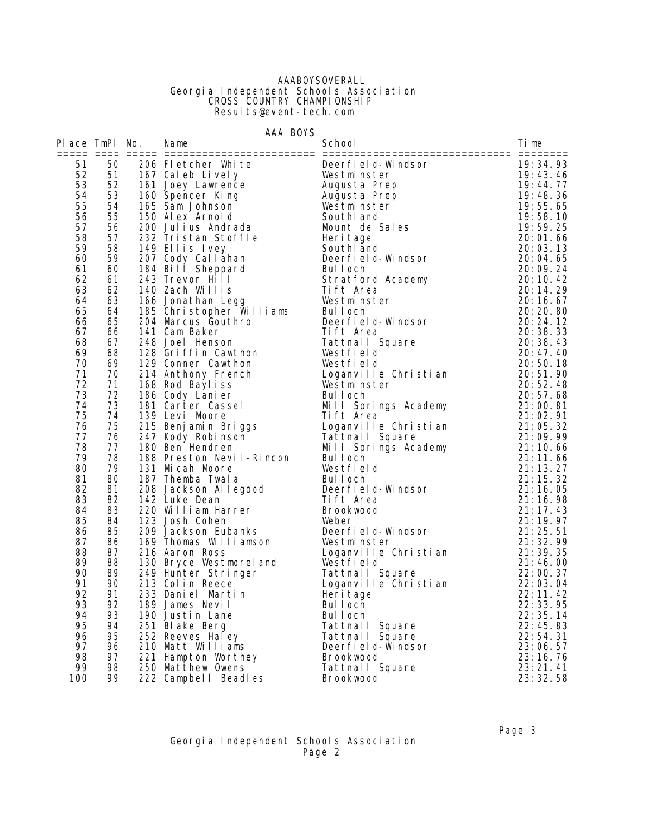### AAABOYSOVERALL Georgia Independent Schools Association **CROSS COUNTRY CHAMPIONSHIP** Results@event-tech.com

|                |          | AAA BOYS                                                   |                        |                      |
|----------------|----------|------------------------------------------------------------|------------------------|----------------------|
| Place TmPl No. |          | Name                                                       | School                 | Ti me                |
| 51             | 50       | 206 Fletcher White                                         | Deerfield-Windsor      | 19:34.93             |
| 52             | 51       | 167 Caleb Lively                                           | Westminster            | 19:43.46             |
| 53             | 52       | 161 Joey Lawrence                                          | Augusta Prep           | 19:44.77             |
| 54             | 53       | 160 Spencer King                                           | Augusta Prep           | 19:48.36             |
| 55             | 54       | 165 Sam Johnson                                            | Westminster            | 19:55.65             |
| 56             | 55       | 150 Alex Arnold                                            | South and              | 19:58.10             |
| 57             | 56       | 200 Julius Andrada<br>232 Tristan Stoffle                  | Mount de Sales         | 19:59.25             |
| 58             | 57       |                                                            | Heri tage              | 20:01.66             |
| 59             | 58       | 149 Ellis Ivey                                             | Southl and             | 20:03.13             |
| 60             | 59       | 207 Cody Callahan                                          | Deerfield-Windsor      | 20:04.65             |
| 61             | 60       | 184 Bill Sheppard                                          | Bul I och              | 20:09.24             |
| 62             | 61       | 243 Trevor Hill                                            | Stratford Academy      | 20:10.42             |
| 63             | 62       | 140 Zach Willis                                            | Tift Area              | 20:14.29             |
| 64             | 63       | 166 Jonathan Legg                                          | Westminster            | 20:16.67             |
| 65             | 64       | 185 Christopher Williams                                   | Bul I och              | 20: 20. 80           |
| 66             | 65       | 204 Marcus Gouthro                                         | Deerfield-Windsor      | 20:24.12             |
| 67             | 66       | 141 Cam Baker                                              | Tift Area              | 20:38.33             |
| 68             | 67       | 248 Joel Henson                                            | Tattnall Square        | 20:38.43             |
| 69             | 68       | 128 Griffin Cawthon                                        | Westfield              | 20:47.40             |
| 70             | 69       | 129 Conner Cawthon                                         | Westfield              | 20:50.18             |
| 71             | 70       | 214 Anthony French                                         | Loganville Christian   | 20:51.90             |
| 72             | 71       | 168 Rod Bayliss                                            | Westminster            | 20:52.48             |
| 73             | 72       | 186 Cody Lani er                                           | Bul I och              | 20:57.68             |
| 74             | 73       | 181 Carter Cassel                                          | Mill Springs Academy   | 21:00.81             |
| 75             | 74       | 139 Levi Moore                                             | Tift Area              | 21:02.91             |
| 76             | 75       | 139 Levi Muore<br>215 Benjamin Briggs<br>247 Kody Robinson | Loganville Christian   | 21:05.32             |
| 77             | 76       |                                                            | Tattnall Square        | 21:09.99             |
| 78             | 77<br>78 | 180 Ben Hendren                                            | Mill Springs Academy   | 21:10.66             |
| 79<br>80       |          | 188 Preston Nevil-Rincon                                   | Bul I och              | 21:11.66             |
| 81             | 79<br>80 | 131 Micah Moore                                            | Westfield<br>Bul I och | 21:13.27<br>21:15.32 |
| 82             | 81       | 187 Themba Twala<br>208 Jackson Allegood                   | Deerfield-Windsor      | 21:16.05             |
| 83             | 82       | 142 Luke Dean                                              | Tift Area              | 21:16.98             |
| 84             | 83       | 220 William Harrer                                         | <b>Brookwood</b>       | 21:17.43             |
| 85             | 84       | 123 Josh Cohen                                             | Weber                  | 21:19.97             |
| 86             | 85       | 209 Jackson Eubanks                                        | Deerfield-Windsor      | 21:25.51             |
| 87             | 86       | 169 Thomas Williamson                                      | Westminster            | 21:32.99             |
| 88             | 87       | 216 Aaron Ross                                             | Loganville Christian   | 21:39.35             |
| 89             | 88       | 130 Bryce Westmoreland                                     | Westfield              | 21:46.00             |
| 90             | 89       | 249 Hunter Stringer                                        | Tattnall Square        | 22:00.37             |
| 91             | 90       | 213 Colin Reece                                            | Loganville Christian   | 22:03.04             |
| 92             | 91       | 233 Daniel Martin                                          | Heri tage              | 22:11.42             |
| 93             | 92       | 189 James Nevil                                            | Bul I och              | 22:33.95             |
| 94             | 93       | 190 Justin Lane                                            | Bul I och              | 22: 35. 14           |
| 95             | 94       | 251 Blake Berg                                             | Tattnall Square        | 22:45.83             |
| 96             | 95       | 252 Reeves Haley                                           | Tattnall Square        | 22:54.31             |
| 97             | 96       | 210 Matt Williams                                          | Deerfield-Windsor      | 23:06.57             |
| 98             | 97       | 221 Hampton Worthey                                        | <b>Brookwood</b>       | 23:16.76             |
| 99             | 98       | 250 Matthew Owens                                          | Tattnall Square        | 23:21.41             |
| 100            | 99       | 222 Campbell Beadles                                       | Brookwood              | 23: 32. 58           |

#### Page 3 - Page 3 - Page 3 - Page 3 - Page 3 - Page 3 - Page 3 - Page 3 - Page 3 - Page 3 - Page 3 - Page 3 - Page 3 - Page 3 - Page 3 - Page 3 - Page 3 - Page 3 - Page 3 - Page 3 - Page 3 - Page 3 - Page 3 - Page 3 - Page 3 Georgia Independent Schools Association Page 2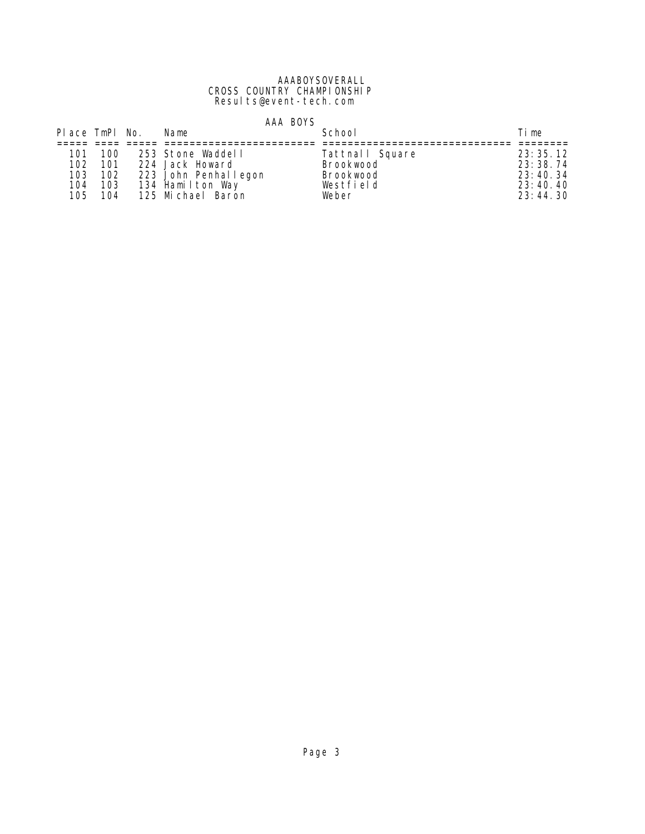#### AAABOYSOVERALL CROSS COUNTRY CHAMPIONSHIP Results@event-tech.com

|                  |       | AAA BOYS                     |                  |            |
|------------------|-------|------------------------------|------------------|------------|
| Place TmPl No.   |       | Name                         | School           | Time       |
|                  |       |                              |                  |            |
| 101              | - 100 | 253 Stone Waddell            | Tattnall Square  | 23:35.12   |
| 102 <sub>1</sub> |       | 101 224 Jack Howard          | Brookwood        | 23: 38. 74 |
|                  |       | 103 102 223 John Penhallegon | <b>Brookwood</b> | 23:40.34   |
| 104              |       | 103 134 Hamilton Way         | Westfield        | 23:40.40   |
|                  |       | 105 104 125 Michael Baron    | Weber            | 23:44.30   |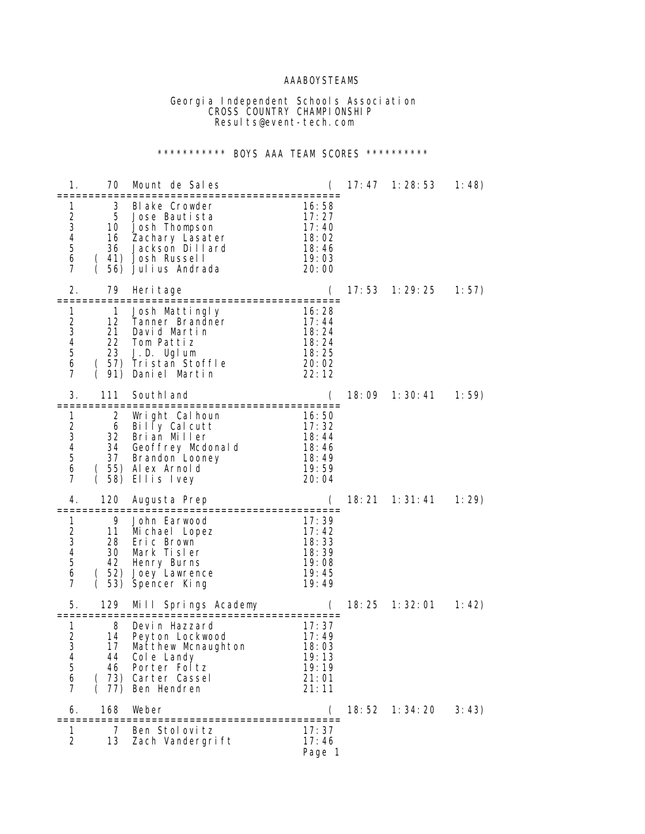## AAABOYSTEAMS

 Georgia Independent Schools Association **CROSS COUNTRY CHAMPIONSHIP** Results@event-tech.com

# \*\*\*\*\*\*\*\*\*\*\* BOYS AAA TEAM SCORES \*\*\*\*\*\*\*\*\*\*\*

| 1.                                                                         | 70                                          | Mount de Sales                                                                                                              |                                                              | 17:47  | 1:28:53           | 1:48) |
|----------------------------------------------------------------------------|---------------------------------------------|-----------------------------------------------------------------------------------------------------------------------------|--------------------------------------------------------------|--------|-------------------|-------|
| 1<br>2<br>3<br>4<br>5<br>6<br>7                                            | 3<br>5<br>10<br>16<br>36<br>$\left($<br>56) | Blake Crowder<br>Jose Bautista<br>Josh Thompson<br>Zachary Lasater<br>Jackson Dillard<br>41) Josh Russell<br>Julius Andrada | 16:58<br>17:27<br>17:40<br>18:02<br>18:46<br>19:03<br>20:00  |        |                   |       |
| 2.                                                                         | 79<br>=============                         | Heri tage<br>===============================                                                                                |                                                              | 17:53  | 1:29:25           | 1:57) |
| 2<br>3<br>$\overline{\mathbf{4}}$<br>5<br>6<br>7                           | 1<br>12<br>21<br>22<br>23<br>(              | Josh Mattingly<br>Tanner Brandner<br>David Martin<br>Tom Pattiz<br>J.D. Uglum<br>(57) Tristan Stoffle<br>91) Daniel Martin  | 16:28<br>17:44<br>18: 24<br>18:24<br>18:25<br>20:02<br>22:12 |        |                   |       |
| 3.                                                                         | 111                                         | SouthI and<br>================================                                                                              |                                                              | 18:09  | 1:30:41           | 1:59) |
| 1<br>$\frac{2}{3}$<br>4<br>5<br>6<br>7                                     | 2<br>6<br>32<br>34<br>37                    | Wright Calhoun<br>Billy Calcutt<br>Brian Miller<br>Geoffrey Mcdonald<br>Brandon Looney<br>55) Alex Arnold<br>58) Ellis Ivey | 16:50<br>17:32<br>18:44<br>18: 46<br>18:49<br>19:59<br>20:04 |        |                   |       |
| 4.                                                                         | 120                                         | Augusta Prep                                                                                                                |                                                              |        | 18: 21  1: 31: 41 | 1:29  |
| 1<br>$\frac{2}{3}$<br>$\overline{\mathcal{L}}$<br>5<br>6<br>$\overline{7}$ | 9<br>11<br>28<br>30<br>42<br>53)            | John Earwood<br>Mi chael Lopez<br>Eric Brown<br>Mark Tisler<br>Henry Burns<br>(52) Joey Lawrence<br>Spencer King            | 17:39<br>17:42<br>18:33<br>18:39<br>19:08<br>19:45<br>19:49  |        |                   |       |
| 5.                                                                         | 129                                         | Springs Academy<br>Mi I I<br>:====================                                                                          |                                                              | 18: 25 | 1:32:01           | 1:42) |
| 1<br>2<br>3<br>4<br>5<br>6<br>$\overline{7}$                               | 8<br>14<br>17<br>44<br>46<br>77)            | Devin Hazzard<br>Peyton Lockwood<br>Matthew Mcnaughton<br>Cole Landy<br>Porter Foltz<br>73) Carter Cassel<br>Ben Hendren    | 17:37<br>17:49<br>18:03<br>19:13<br>19:19<br>21:01<br>21:11  |        |                   |       |
| 6.                                                                         | 168<br>----------                           | Weber                                                                                                                       |                                                              | 18: 52 | 1:34:20           | 3:43) |
| 1<br>2                                                                     | 7<br>13                                     | Ben Stolovitz<br>Zach Vandergrift                                                                                           | 17:37<br>17:46<br>Page 1                                     |        |                   |       |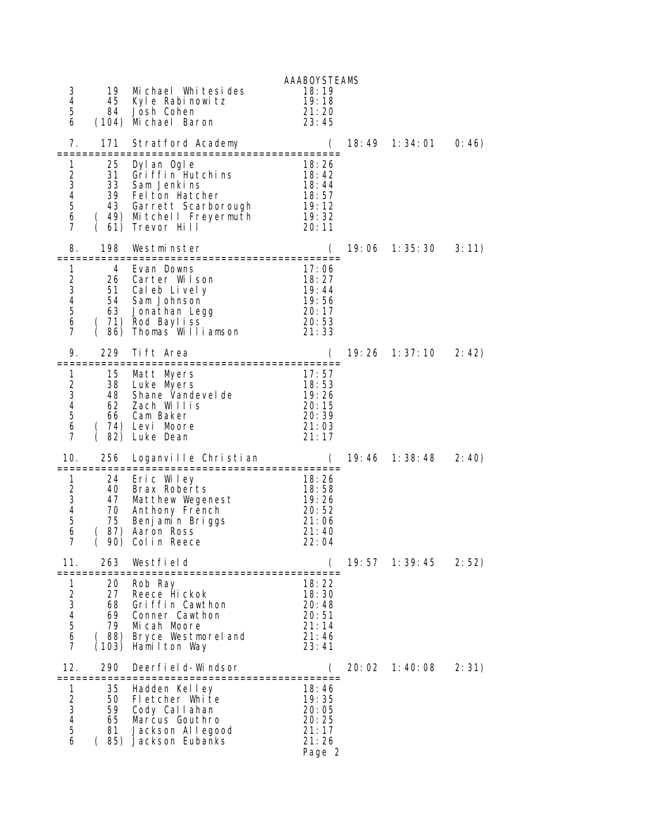| 3<br>4<br>5<br>6                                                                          | 19<br>45<br>84                      | Michael Whitesides<br>Kyle Rabinowitz<br>Josh Cohen<br>(104) Michael Baron                                                                              | <b>AAABOYSTEAMS</b><br>18:19<br>19:18<br>21:20<br>23:45      |        |           |       |
|-------------------------------------------------------------------------------------------|-------------------------------------|---------------------------------------------------------------------------------------------------------------------------------------------------------|--------------------------------------------------------------|--------|-----------|-------|
| 7.                                                                                        | 171                                 | Stratford Academy                                                                                                                                       | $\overline{C}$                                               | 18: 49 | 1: 34: 01 | 0:46) |
| 1<br>2<br>3<br>4<br>5<br>6<br>$\overline{7}$                                              | 25<br>31<br>33<br>(61)              | Dyl an Ogl e<br>Griffin Hutchins<br>Sam Jenkins<br>39 Felton Hatcher<br>43 Garrett Scarborough 19:12<br>(49) Mitchell Freyermuth 19:32<br>Trevor Hill   | 18:26<br>18:42<br>18:44<br>$18:57$<br>$19:12$<br>20:11       |        |           |       |
| 8.                                                                                        | 198<br>==============               | Westminster                                                                                                                                             |                                                              | 19:06  | 1:35:30   | 3:11) |
| 1<br>$\frac{2}{3}$<br>$\overline{\mathcal{A}}$<br>5<br>$\boldsymbol{6}$<br>$\overline{7}$ | 4<br>26<br>51<br>63                 | Evan Downs<br>Carter Wilson<br>Cal eb Li vel y<br>54 Sam Johnson<br>Jonathan Legg<br>$(71)$ Rod Bayliss<br>$(86)$ Thomas Willi<br>86) Thomas Williamson | 17:06<br>18:27<br>19:44<br>19:56<br>20:17<br>20:53<br>21:33  |        |           |       |
| 9.                                                                                        | 229                                 | Tift Area<br>:==========================                                                                                                                | (                                                            | 19: 26 | 1: 37: 10 | 2:42  |
| 1<br>$\overline{\mathbf{c}}$<br>3<br>4<br>5<br>6<br>$\overline{7}$                        | 15<br>38<br>48<br>62<br>66          | Matt Myers<br>Luke Myers<br>Shane Vandevel de<br>Zach Willis<br>Cam Baker<br>(74) Levi Moore<br>82) Luke Dean                                           | 17:57<br>18:53<br>19:26<br>20:15<br>20:39<br>21:03<br>21:17  |        |           |       |
| 10.                                                                                       | 256                                 | Loganville Christian                                                                                                                                    | (                                                            | 19: 46 | 1: 38: 48 | 2:40) |
| 1<br>$\overline{2}$<br>3<br>$\overline{\mathcal{A}}$<br>5<br>6<br>$\overline{7}$          | 24<br>40<br>47<br>70<br>75          | Eric Wiley<br>Brax Roberts<br>Matthew Wegenest<br>Anthony French<br>Benjamin Briggs<br>87) Aaron Ross<br>90) Colin Reece                                | 18:26<br>18:58<br>19:26<br>20:52<br>21:06<br>21:40<br>22:04  |        |           |       |
| 11.                                                                                       | 263                                 | Westfield                                                                                                                                               |                                                              | 19:57  | 1: 39: 45 | 2:52) |
| 1<br>2 3 4 5 6<br>7                                                                       | 20<br>27<br>68<br>69<br>79<br>(103) | Rob Ray<br>Reece Hickok<br>Griffin Cawthon<br>Conner Cawthon<br>Micah Moore<br>(88) Bryce Westmoreland<br>Hamilton Way                                  | 18:22<br>18:30<br>20:48<br>20:51<br>21:14<br>21:46<br>23:41  |        |           |       |
| 12.                                                                                       | 290                                 | Deerfield-Windsor                                                                                                                                       |                                                              | 20:02  | 1:40:08   | 2:31) |
| 1<br>2<br>3<br>4<br>5<br>6                                                                | 35<br>50<br>59<br>65<br>81          | Hadden Kelley<br>Fletcher White<br>Cody Callahan<br>Marcus Gouthro<br>Jackson Allegood<br>(85) Jackson Eubanks                                          | 18:46<br>19:35<br>20:05<br>20:25<br>21:17<br>21:26<br>Page 2 |        |           |       |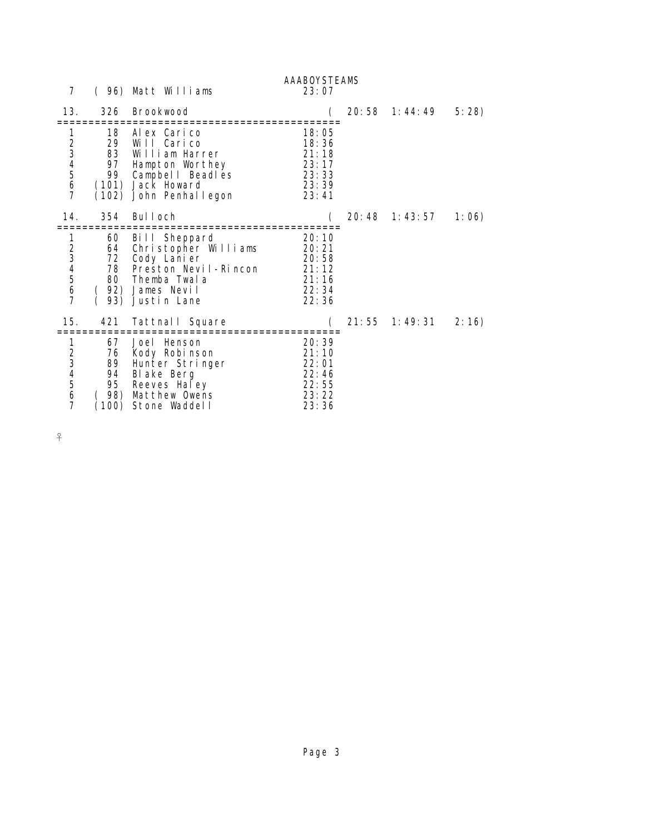| 7           |                                      | (96) Matt Williams                                                                                                                      | <b>AAABOYSTEAMS</b><br>23:07                                |                     |       |
|-------------|--------------------------------------|-----------------------------------------------------------------------------------------------------------------------------------------|-------------------------------------------------------------|---------------------|-------|
| 13.         | 326                                  | Brookwood                                                                                                                               |                                                             | 20:58 1:44:49 5:28) |       |
| 1234567     | 18<br>29<br>83<br>97                 | Alex Carico<br>Will Carico<br>William Harrer<br>Hampton Worthey<br>99 Campbel   Beadles<br>(101) Jack Howard<br>(102) John Penhal legon | 18:05<br>18:36<br>21:18<br>23:17<br>23:33<br>23:39<br>23:41 |                     |       |
| 14.         | 354                                  | Bul I och                                                                                                                               |                                                             | 20:48 1:43:57       | 1:06) |
| 1<br>234567 | 60<br>64<br>72<br>78<br>93)          | Bill Sheppard<br>Christopher Williams<br>Cody Lanier<br>Preston Nevil-Rincon<br>80 Themba Twala<br>92) James Nevil<br>Justin Lane       | 20:10<br>20:21<br>20:58<br>21:12<br>21:16<br>22:34<br>22:36 |                     |       |
| 15.         | 421                                  | Tattnall Square                                                                                                                         |                                                             | 21:55 1:49:31       | 2:16) |
| 1234567     | 67<br>76<br>89<br>94<br>98)<br>(100) | Joel Henson<br>Kody Robinson<br>Hunter Stringer<br>Blake Berg<br>95 Reeves Haley<br>Matthew Owens<br>Stone Waddell                      | 20:39<br>21:10<br>22:01<br>22:46<br>22:55<br>23:22<br>23:36 |                     |       |

 $\frac{8}{1}$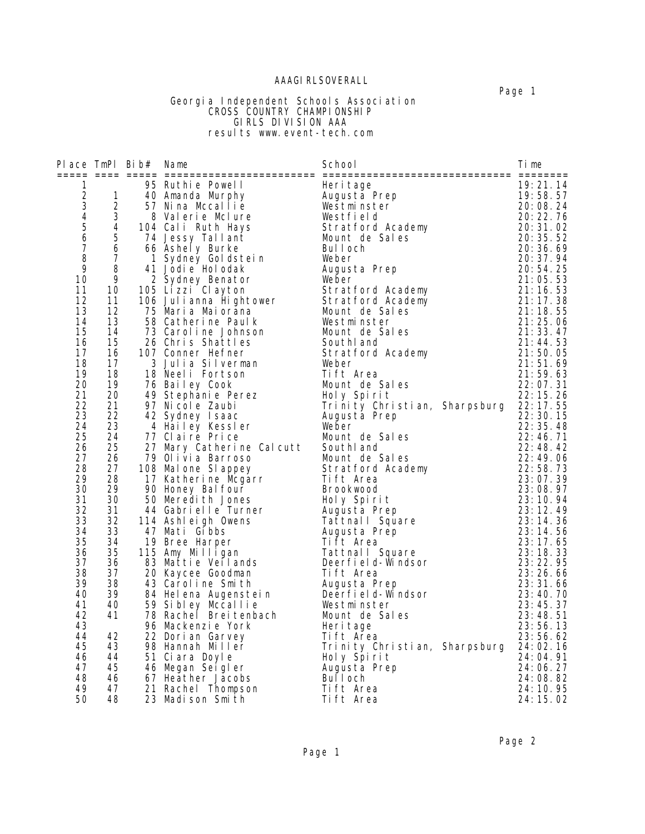## **AAAGI RLSOVERALL**

#### Page 1 - Page 1 - Page 1 - Page 1 - Page 1 - Page 1 - Page 1 - Page 1 - Page 1 - Page 1 - Page 1 - Page 1 - Page 1 Georgia Independent Schools Association **CROSS COUNTRY CHAMPIONSHIP**  GIRLS DIVISION AAA results www.event-tech.com

|                                                                                |                                          | Place TmPl Bib# Name |                                                                                                                                                      | School                                                                     | Time                                                     |
|--------------------------------------------------------------------------------|------------------------------------------|----------------------|------------------------------------------------------------------------------------------------------------------------------------------------------|----------------------------------------------------------------------------|----------------------------------------------------------|
| 1<br>$\overline{a}$<br>$\overline{3}$<br>$\overline{4}$<br>$\overline{5}$<br>6 | $\mathbf{1}$<br>$\overline{2}$<br>3<br>4 |                      | 95 Ruthie Powell<br>40 Amanda Murphy<br>57 Nina Mccallie<br>8 Valerie McLure<br>104 Cali Ruth Hays                                                   | Heri tage<br>Augustă Prep<br>Westminster<br>Westfield<br>Stratford Academy | 19:21.14<br>19:58.57<br>20:08.24<br>20:22.76<br>20:31.02 |
| $\overline{7}$                                                                 | 5<br>6                                   |                      | 74 Jessy Tallant                                                                                                                                     | Mount de Sales<br>Bul Loch                                                 | 20:35.52<br>20:36.69                                     |
| 8                                                                              | $\overline{7}$                           |                      | 66 Ashely Burke<br>1 Sydney Goldstein                                                                                                                | Weber                                                                      | 20:37.94                                                 |
| 9                                                                              | 8                                        |                      | 41 Jodi e Hol odak                                                                                                                                   | Augusta Prep                                                               | 20:54.25                                                 |
| 10                                                                             | 9                                        |                      |                                                                                                                                                      |                                                                            | 21:05.53                                                 |
| 11                                                                             | 10                                       |                      |                                                                                                                                                      |                                                                            | 21:16.53                                                 |
| 12<br>13                                                                       | 11<br>12                                 |                      | Weber<br>106 Julianna Hightower<br>106 Julianna Hightower<br>106 Julianna Hightower<br>15 Maria Maiorana<br>58 Catherine Paulk<br>12 Catherine Paulk |                                                                            | 21:17.38<br>21:18.55                                     |
| 14                                                                             | 13                                       |                      | 75 Warra warurana<br>58 Catherine Paulk<br>73 Caroline Johnson                                                                                       |                                                                            | 21:25.06                                                 |
| 15                                                                             | 14                                       |                      | 73 Caroline Johnson                                                                                                                                  | Mount de Sales                                                             | 21:33.47                                                 |
| 16                                                                             | 15                                       |                      | 26 Chris Shattles                                                                                                                                    | South and                                                                  | 21:44.53                                                 |
| 17                                                                             | 16                                       |                      | 107 Conner Hefner                                                                                                                                    | Stratford Academy                                                          | 21:50.05                                                 |
| 18<br>19                                                                       | 17<br>18                                 |                      | 3 Julia Silverman<br>18 Neeli Fortson                                                                                                                | Weber<br>Tift Area                                                         | 21:51.69<br>21:59.63                                     |
| 20                                                                             | 19                                       |                      |                                                                                                                                                      | Mount de Sales                                                             | 22:07.31                                                 |
| 21                                                                             | 20                                       |                      |                                                                                                                                                      | Holy Spirit                                                                | 22:15.26                                                 |
| 22                                                                             | 21                                       |                      | 76 Bailey Cook<br>49 Stephanie Perez<br>2 Micole Zaubi                                                                                               | Trinity Christian, Sharpsburg 22:17.55                                     |                                                          |
| 23                                                                             | 22                                       |                      | 42 Sydney Isaac                                                                                                                                      | Augusta Prep                                                               | 22:30.15                                                 |
| 24<br>25                                                                       | 23<br>24                                 |                      | 4 Hailey Kessler<br>77 Claire Price                                                                                                                  | Weber<br>Mount de Sales                                                    | 22:35.48<br>22:46.71                                     |
| 26                                                                             | 25                                       |                      |                                                                                                                                                      | SouthI and                                                                 | 22:48.42                                                 |
| 27                                                                             | 26                                       |                      | 27 Mary Catherine Calcutt<br>79 Olivia Barroso<br>79 Olivia Barroso                                                                                  | Mount de Sales                                                             | 22:49.06                                                 |
| 28                                                                             | 27                                       |                      | oo warone Slappey<br>17 Katherine Mcgarr<br>90 Honey Balfour<br>50 Meredith Jones<br>44 Cobristi<br>108 Mal one SI appey                             | Stratford Academy                                                          | 22:58.73                                                 |
| 29                                                                             | 28                                       |                      |                                                                                                                                                      | Tift Area                                                                  | 23:07.39                                                 |
| 30<br>31                                                                       | 29<br>30                                 |                      |                                                                                                                                                      | Brookwood                                                                  | 23:08.97                                                 |
| 32                                                                             | 31                                       |                      | bu Mereuran Sonner<br>44 Gabrielle Turner<br>114 Ashleigh Owens                                                                                      | Holy Spirit<br>Augusta Prep                                                | 23:10.94<br>23:12.49                                     |
| 33                                                                             | 32                                       |                      |                                                                                                                                                      | Tattnall Square                                                            | 23:14.36                                                 |
| 34                                                                             | 33                                       |                      | 47 Mati Gibbs                                                                                                                                        | Augusta Prep                                                               | 23:14.56                                                 |
| 35                                                                             | 34                                       |                      | 19 Bree Harper                                                                                                                                       | Tift Area                                                                  | 23:17.65                                                 |
| 36                                                                             | 35                                       |                      | 115 Amy Milligan                                                                                                                                     | Tattnall Square                                                            | 23:18.33                                                 |
| 37<br>38                                                                       | 36<br>37                                 |                      | 83 Mattie Veilands<br>20 Kaycee Goodman                                                                                                              | Deerfield-Windsor<br>Tift Area                                             | 23:22.95<br>23:26.66                                     |
| 39                                                                             | 38                                       |                      | 20 Kaycee doodman:<br>43 Caroline Smith<br>84 Helena Augenstein<br>-- Citiev Mocallie                                                                | Augusta Prep                                                               | 23:31.66                                                 |
| 40                                                                             | 39                                       |                      |                                                                                                                                                      | Deerfi el d-Windsor                                                        | 23:40.70                                                 |
| 41                                                                             | 40                                       |                      | 59 Sibley Mccallie                                                                                                                                   | Westminster                                                                | 23:45.37                                                 |
| 42                                                                             | 41                                       |                      | 78 Racheľ Breitenbach<br>96 Mackonzie York                                                                                                           | Mount de Sales                                                             | 23:48.51                                                 |
| 43<br>44                                                                       | 42                                       |                      | 96 Mackenzie York                                                                                                                                    | Heri tage<br>Tift Area                                                     | 23:56.13<br>23:56.62                                     |
| 45                                                                             | 43                                       |                      | 22 Dorian Garvey<br>98 Hannah Miller                                                                                                                 | Trinity Christian, Sharpsburg 24:02.16                                     |                                                          |
| 46                                                                             | 44                                       |                      | 51 Ciara Doyle                                                                                                                                       | Holy Spirit                                                                | 24:04.91                                                 |
| 47                                                                             | 45                                       |                      | 46 Megan Seigler                                                                                                                                     | Augusta Prep                                                               | 24:06.27                                                 |
| 48                                                                             | 46                                       |                      | 46 Megan Jergres<br>67 Heather Jacobs<br>21 Rachel Thompson<br>11 Medican Smith                                                                      | Bul I och                                                                  | 24:08.82                                                 |
| 49                                                                             | 47                                       |                      |                                                                                                                                                      | Tift Area                                                                  | 24: 10. 95                                               |
| 50                                                                             | 48                                       |                      |                                                                                                                                                      | Tift Area                                                                  | 24: 15. 02                                               |

Page 2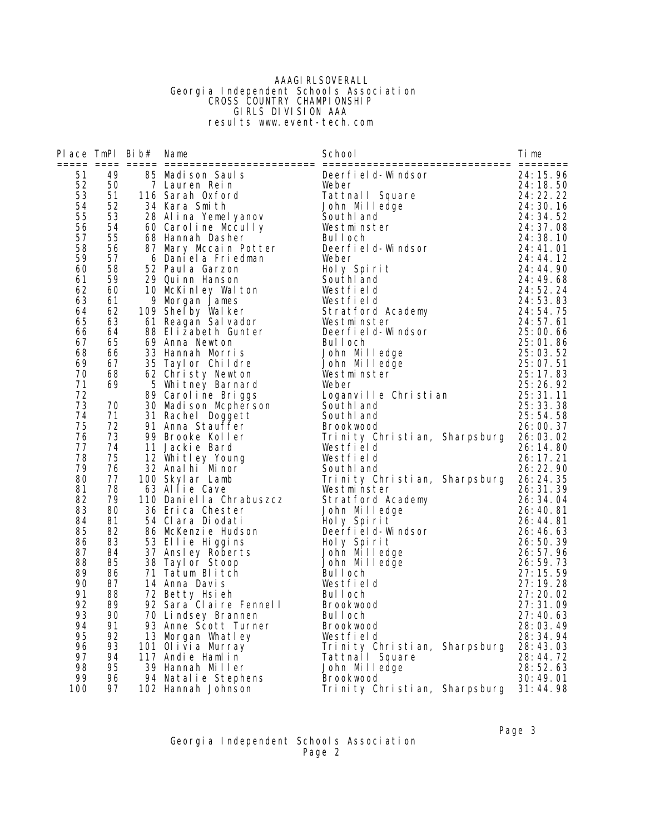### **AAAGI RLSOVERALL**  Georgia Independent Schools Association **CROSS COUNTRY CHAMPIONSHIP**  GIRLS DIVISION AAA results www.event-tech.com

| 51<br>49<br>and the term of the set of the set of the set of the set of the set of the set of the set of the set of the set of the set of the set of the set of the set of the set of the set of the set of the set of the set of the set<br>Deerfield-Windsor<br>52<br>50 | 24: 15. 96<br>24: 18. 50<br>24: 22. 22<br>34: 30. 37 |
|----------------------------------------------------------------------------------------------------------------------------------------------------------------------------------------------------------------------------------------------------------------------------|------------------------------------------------------|
|                                                                                                                                                                                                                                                                            |                                                      |
|                                                                                                                                                                                                                                                                            |                                                      |
| 53<br>51                                                                                                                                                                                                                                                                   |                                                      |
| 54<br>52<br>53                                                                                                                                                                                                                                                             | 24: 30. 16                                           |
| 55<br>SouthI and<br>56<br>54<br>Westminster                                                                                                                                                                                                                                | 24: 34. 52<br>24: 37.08                              |
| 55<br>57<br>Bul I och                                                                                                                                                                                                                                                      | 24:38.10                                             |
| 34 Kara Smith<br>28 Alina Yemelyanov<br>60 Caroline Mccully<br>68 Hannah Dasher<br>87 Mary Mccain Potter<br>6 Daniela Friedman<br>58<br>56<br>Deerfield-Windsor                                                                                                            | 24:41.01                                             |
| 59<br>57<br>Weber                                                                                                                                                                                                                                                          | 24:44.12                                             |
| 60<br>58<br>52 Paul a Garzon<br>Holy Spirit                                                                                                                                                                                                                                | 24:44.90                                             |
| 59<br>29 Qui nn Hanson<br>61<br>SouthI and                                                                                                                                                                                                                                 | 24:49.68                                             |
| 62<br>10 McKinley Walton<br>Westfield<br>60                                                                                                                                                                                                                                | 24:52.24                                             |
| 63<br>61<br>9 Morgan James<br>Westfield                                                                                                                                                                                                                                    | 24:53.83                                             |
| 64<br>62<br>109 Shelby Walker<br>Stratford Academy                                                                                                                                                                                                                         | 24:54.75                                             |
| 63<br>65<br>61 Reagan Sal vador<br>Westminster                                                                                                                                                                                                                             | 24:57.61                                             |
| 64<br>88 Elizabeth Gunter<br>66<br>Deerfield-Windsor                                                                                                                                                                                                                       | 25:00.66                                             |
| 67<br>65<br>69 Anna Newton<br>Bul I och                                                                                                                                                                                                                                    | 25:01.86                                             |
| 68<br>66<br>33 Hannah Morris<br>John Milledge                                                                                                                                                                                                                              | 25:03.52                                             |
| 69<br>67<br>35 Tayl or Childre<br>John Milledge<br>70<br>68                                                                                                                                                                                                                | 25:07.51<br>25:17.83                                 |
| 62 Christy Newton<br>Westminster<br>71<br>69<br>5 Whitney Barnard<br>Weber                                                                                                                                                                                                 | 25:26.92                                             |
| 72<br>89 Carol i ne Briggs                                                                                                                                                                                                                                                 | 25:31.11                                             |
| Loganville Christian<br>73<br>70<br>30 Madi son Mcpherson<br>South and                                                                                                                                                                                                     | 25:33.38                                             |
| 71<br>74<br>31 Rachel Doggett<br>South and                                                                                                                                                                                                                                 | 25:54.58                                             |
| 75<br>72<br>91 Anna Stauffer<br><b>Brookwood</b>                                                                                                                                                                                                                           | 26:00.37                                             |
| 73<br>76<br>99 Brooke Koller<br>Trinity Christian, Sharpsburg                                                                                                                                                                                                              | 26:03.02                                             |
| 77<br>74<br>11 Jackie Bard<br>Westfield                                                                                                                                                                                                                                    | 26:14.80                                             |
| 78<br>75<br>12 Whitley Young<br>Westfield                                                                                                                                                                                                                                  | 26: 17. 21                                           |
| 79<br>76<br>32 Anal hi Minor<br>SouthI and                                                                                                                                                                                                                                 | 26:22.90                                             |
| 77<br>Trinity Christian, Sharpsburg<br>80<br>100 Skylar Lamb                                                                                                                                                                                                               | 26: 24. 35                                           |
| 78<br>81<br>63 Allie Cave<br>Westminster                                                                                                                                                                                                                                   | 26: 31.39                                            |
| 82<br>79<br>110 Dani el la Chrabuszcz<br>Stratford Academy                                                                                                                                                                                                                 | 26: 34. 04                                           |
| 83<br>80<br>36 Erica Chester<br>John Milledge<br>81<br>84<br>54 Clara Diodati                                                                                                                                                                                              | 26:40.81                                             |
| Holy Spirit<br>82<br>85<br>86 McKenzie Hudson<br>Deerfield-Windsor                                                                                                                                                                                                         | 26:44.81<br>26:46.63                                 |
| 83<br>53 Ellie Higgins<br>Holy Spirit<br>86                                                                                                                                                                                                                                | 26:50.39                                             |
| 87<br>37 Ansley Roberts<br>84<br>John Milledge                                                                                                                                                                                                                             | 26:57.96                                             |
| 88<br>85<br>38 Tayl or Stoop<br>John Milledge                                                                                                                                                                                                                              | 26:59.73                                             |
| 89<br>86<br>71 Tatum Blitch<br>Bul I och                                                                                                                                                                                                                                   | 27:15.59                                             |
| 90<br>87<br>Westfield<br>14 Anna Davis                                                                                                                                                                                                                                     | 27:19.28                                             |
| 91<br>88<br>72 Betty Hsieh<br>Bul I och                                                                                                                                                                                                                                    | 27:20.02                                             |
| 92<br>89<br>92 Sara Claire Fennell<br>Brookwood                                                                                                                                                                                                                            | 27:31.09                                             |
| 93<br>90<br>70 Lindsey Brannen<br>Bul I och                                                                                                                                                                                                                                | 27:40.63                                             |
| 91<br>93 Anne Scott Turner<br>94<br><b>Brookwood</b>                                                                                                                                                                                                                       | 28:03.49                                             |
| 95<br>92<br>13 Morgan Whatley<br>Westfield                                                                                                                                                                                                                                 | 28:34.94                                             |
| Trinity Christian, Sharpsburg 28:43.03<br>96<br>93<br>101 Olivia Murray                                                                                                                                                                                                    |                                                      |
| 97<br>94<br>117 Andie Hamlin<br>Tattnall Square<br>98<br>95                                                                                                                                                                                                                | 28:44.72<br>28:52.63                                 |
| 39 Hannah Miller<br>John Milledge<br>99<br>96<br>94 Natalie Stephens<br>Brookwood                                                                                                                                                                                          | 30:49.01                                             |
| Trinity Christian, Sharpsburg<br>100<br>97<br>102 Hannah Johnson                                                                                                                                                                                                           | 31:44.98                                             |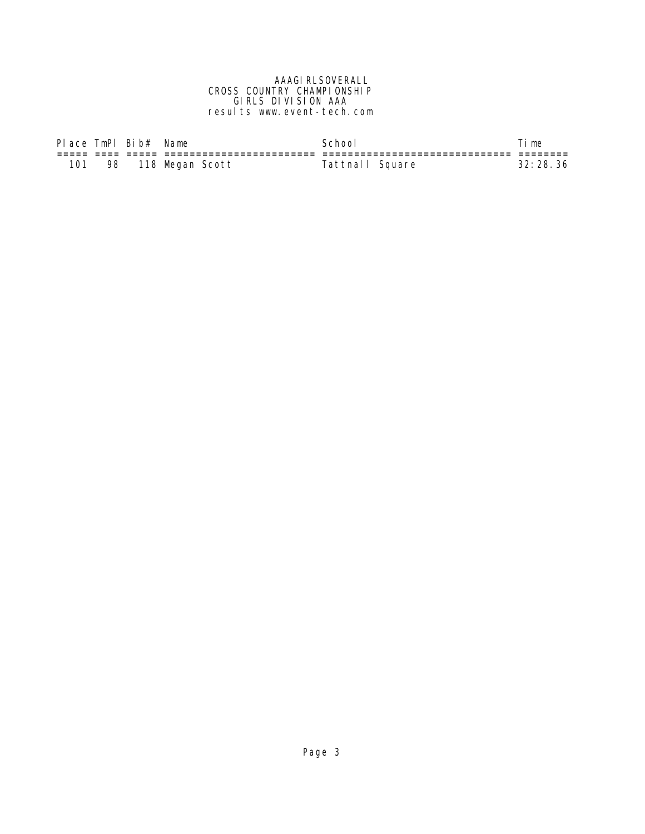#### AAAGI RLSOVERALL CROSS COUNTRY CHAMPIONSHIP GIRLS DIVISION AAA results www.event-tech.com

| Place TmPl Bib# Name |    |                 | Schoo           | 'i me    |
|----------------------|----|-----------------|-----------------|----------|
|                      |    |                 |                 |          |
| 101                  | 98 | 118 Megan Scott | Tattnall Square | 32:28.36 |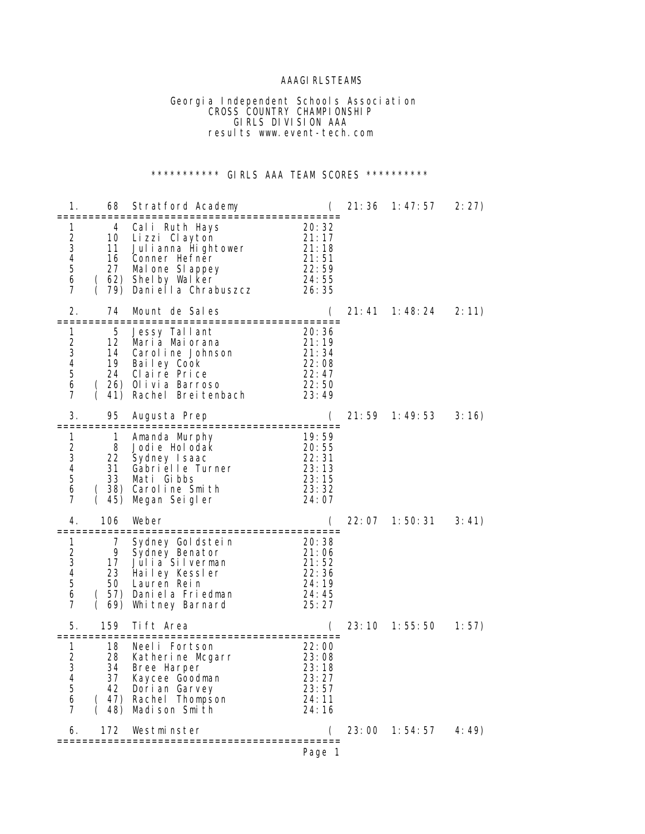## **AAAGI RLSTEAMS**

 Georgia Independent Schools Association **CROSS COUNTRY CHAMPIONSHIP**  GIRLS DIVISION AAA results www.event-tech.com

## \*\*\*\*\*\*\*\*\*\*\*\* GIRLS AAA TEAM SCORES \*\*\*\*\*\*\*\*\*\*

| 1.                                                    | 68                                     | Stratford Academy                                                                                                                          |                                                                                                   | 21: 36 | 1: 47: 57 | 2:27)  |
|-------------------------------------------------------|----------------------------------------|--------------------------------------------------------------------------------------------------------------------------------------------|---------------------------------------------------------------------------------------------------|--------|-----------|--------|
| 1<br>2<br>3<br>4<br>5<br>6<br>7                       | 4<br>10<br>11<br>16<br>27              | Cali Ruth Hays<br>Lizzi Clayton<br>Julianna Hightower<br>Conner Hefner<br>Mal one SI appey<br>62) Shelby Walker<br>79) Daniella Chrabuszcz | ==================<br>20:32<br>21:17<br>21: 18<br>$\overline{2}$ 1: 51<br>22:59<br>24:55<br>26:35 |        |           |        |
| 2.                                                    | 74<br>==========                       | Mount de Sales<br>===============================                                                                                          |                                                                                                   | 21: 41 | 1: 48: 24 | 2:11)  |
| 1<br>2<br>3<br>4<br>5<br>6<br>7                       | 5<br>12<br>14<br>19                    | Jessy Tallant<br>Maria Maiorana<br>Caroline Johnson<br>Bailey Cook<br>24 Claire Price<br>(26) Olivia Barroso<br>41) Rachel Breitenbach     | 20:36<br>21:19<br>21:34<br>22: 08<br>22: 47<br>22:50<br>23:49                                     |        |           |        |
| 3.                                                    | 95                                     | Augusta Prep                                                                                                                               | C                                                                                                 | 21:59  | 1:49:53   | 3:16)  |
| 1<br>2<br>3<br>4<br>5<br>6<br>7                       | 1<br>8<br>22<br>31<br>33<br>45)        | Amanda Murphy<br>Jodie Holodak<br>Sydney Isaac<br>Gabrielle Turner<br>Mati Gibbs<br>38) Caroline Smith<br>Megan Seigler                    | 19:59<br>20:55<br>22:31<br>23:13<br>23: 15<br>23:32<br>24:07                                      |        |           |        |
| 4.                                                    | 106                                    | Weber                                                                                                                                      |                                                                                                   | 22: 07 | 1:50:31   | 3: 41) |
| 1<br>$\overline{\mathbf{c}}$<br>3<br>4<br>5<br>6<br>7 | 7<br>9<br>17<br>50                     | Sydney Goldstein<br>Sydney Benator<br>Julia Silverman<br>23 Hailey Kessler<br>Lauren Rein<br>57) Daniela Friedman<br>69) Whitney Barnard   | 20: 38<br>21:06<br>21:52<br>22: 36<br>24:19<br>24:45<br>25:27                                     |        |           |        |
| 5.                                                    | 159                                    | Tift Area                                                                                                                                  | :====================                                                                             | 23:10  | 1: 55: 50 | 1:57)  |
| 1<br>2<br>3<br>4<br>5<br>6<br>7                       | 18<br>28<br>34<br>37<br>42<br>48)<br>( | Neeli Fortson<br>Katherine Mcgarr<br>Bree Harper<br>Kaycee Goodman<br>Dori an Garvey<br>(47) Rachel Thompson<br>Madison Smith              | 22:00<br>$\overline{2}3:08$<br>23:18<br>23:27<br>23:57<br>24:11<br>24:16                          |        |           |        |
| 6.                                                    | 172                                    | Westminster                                                                                                                                |                                                                                                   | 23:00  | 1:54:57   | 4:49)  |
|                                                       |                                        | ==========                                                                                                                                 | Page 1                                                                                            |        |           |        |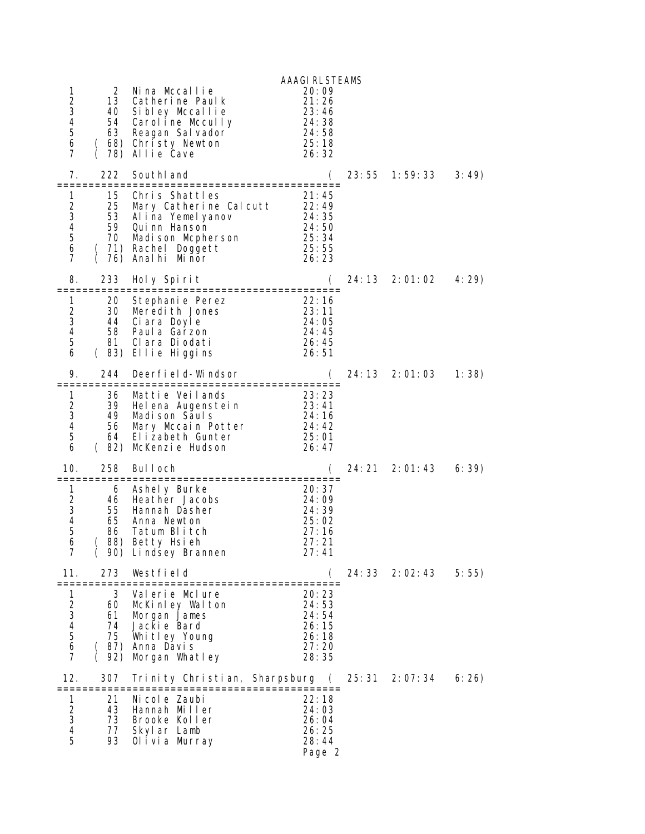| 1<br>$\overline{c}$<br>3<br>4<br>5<br>6<br>7               | 2<br>13                                       | Nina Mccallie<br>Catherine Paulk<br>40 Sibley Mccallie<br>54 Caroline Mccully<br>63 Reagan Sal vador<br>(68) Christy Newton<br>78) Allie Cave                 | <b>AAAGI RLSTEAMS</b><br>20:09<br>21:26<br>23:46<br>24:38<br>24:58<br>25:18<br>26:32 |        |         |       |
|------------------------------------------------------------|-----------------------------------------------|---------------------------------------------------------------------------------------------------------------------------------------------------------------|--------------------------------------------------------------------------------------|--------|---------|-------|
| 7.                                                         | 222                                           | SouthI and                                                                                                                                                    |                                                                                      | 23:55  | 1:59:33 | 3:49) |
| 1.<br>2<br>3<br>$\overline{4}$<br>5<br>6<br>$\overline{7}$ | 15<br>25<br>$\left($                          | Chris Shattles<br>Mary Catherine Calcutt 22:49<br>53 Alina Yemel yanov<br>59 Qui nn Hanson<br>70 Madison Mcpherson<br>(71) Rachel Doggett<br>76) Analhi Minor | 21:45<br>24: 35<br>24: 50<br>25: 34<br>25:55<br>26:23                                |        |         |       |
| 8.                                                         | 233                                           | Holy Spirit                                                                                                                                                   |                                                                                      | 24: 13 | 2:01:02 | 4:29  |
| 1<br>2<br>3<br>4<br>5<br>6                                 | 20<br>30<br>81                                | Stephanie Perez<br>Meredith Jones<br>44 Ciara Doyle<br>58 Paul a Garzon<br>Clara Diodati<br>(83) Ellie Higgins                                                | 22:16<br>23:11<br>24:05<br>24:45<br>26:45<br>26:51                                   |        |         |       |
| 9.                                                         | 244                                           | Deerfield-Windsor                                                                                                                                             |                                                                                      | 24: 13 | 2:01:03 | 1:38) |
| 1<br>2<br>3<br>4<br>5<br>6                                 | 36<br>39<br>49<br>56<br>64                    | Mattie Veilands<br>Helena Augenstein<br>Madison Sauls<br>Mary Mccain Potter<br>Elizabeth Gunter<br>(82) McKenzie Hudson                                       | 23:23<br>23:41<br>24: 16<br>24:42<br>25:01<br>26:47                                  |        |         |       |
| 10.                                                        | 258<br>:============                          | Bul I och<br>========= <b>=</b>                                                                                                                               | (<br>================                                                                | 24: 21 | 2:01:43 | 6:39) |
| 1<br>$\begin{array}{c} 2 \\ 3 \\ 4 \end{array}$<br>5<br>6  | 6<br>46<br>55<br>65<br>86<br>(                | Ashely Burke<br>Heather Jacobs<br>Hannah Dasher<br>Anna Newton<br>Tatum Blitch<br>88) Betty Hsieh<br>(90) Lindsey Brannen                                     | 20: 37<br>24:09<br>24:39<br>25:02<br>27:16<br>27:21<br>27:41                         |        |         |       |
| 11.                                                        | 273<br>=============                          | Westfield<br>===============================                                                                                                                  | (                                                                                    | 24:33  | 2:02:43 | 5:55) |
| 1<br>234567                                                | 3<br>60<br>61<br>74<br>75<br>(87)<br>(<br>92) | Valerie Mclure<br>McKinley Walton<br>Morgan James<br>Jackie Bard<br>Whitley Young<br>Anna Davis<br>Morgan Whatley                                             | 20:23<br>24:53<br>24:54<br>26:15<br>26:18<br>27:20<br>28:35                          |        |         |       |
| 12.                                                        | 307                                           | Trinity Christian, Sharpsburg                                                                                                                                 | $\left($<br>:======================                                                  | 25: 31 | 2:07:34 | 6:26) |
| 1<br>$\begin{array}{c}\n2 \\ 3 \\ 4 \\ 5\n\end{array}$     | 21<br>43<br>73<br>77<br>93                    | Ni col e Zaubi<br>Hannah Miller<br>Brooke Koller<br>Skyl ar Lamb<br>Olivia Murray                                                                             | 22:18<br>24:03<br>26:04<br>26:25<br>28:44<br>Page 2                                  |        |         |       |